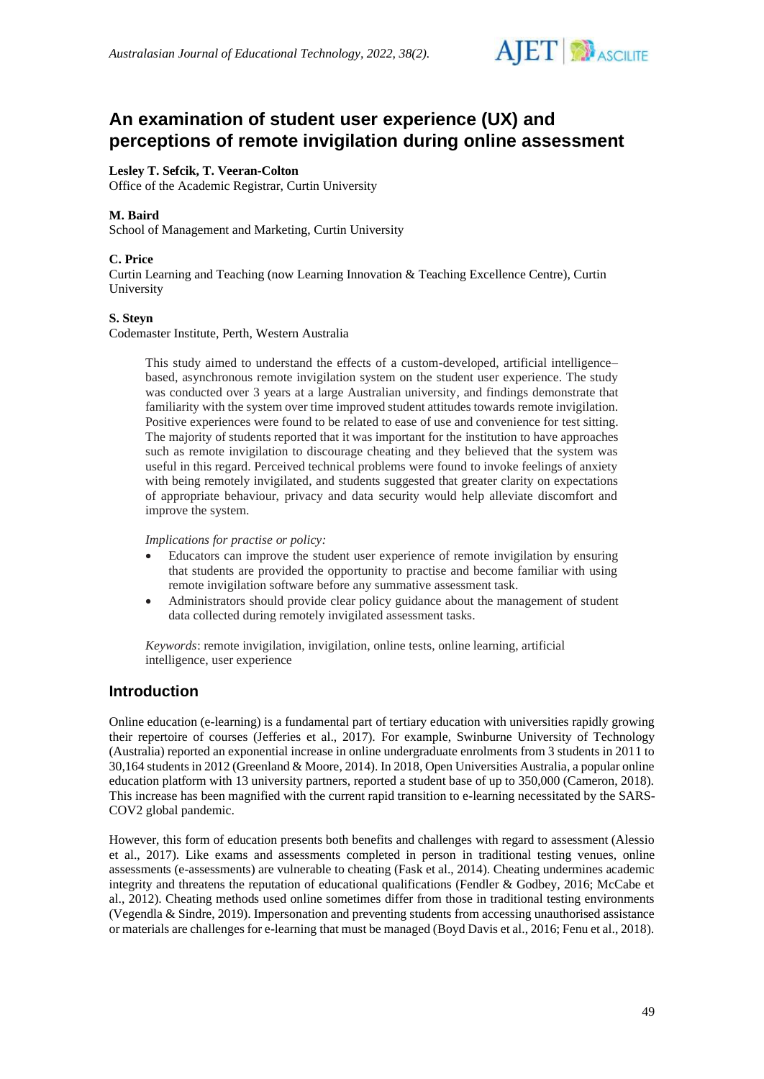

# **An examination of student user experience (UX) and perceptions of remote invigilation during online assessment**

# **Lesley T. Sefcik, T. Veeran-Colton**

Office of the Academic Registrar, Curtin University

# **M. Baird**

School of Management and Marketing, Curtin University

### **C. Price**

Curtin Learning and Teaching (now Learning Innovation & Teaching Excellence Centre), Curtin University

### **S. Steyn**

Codemaster Institute, Perth, Western Australia

This study aimed to understand the effects of a custom-developed, artificial intelligence– based, asynchronous remote invigilation system on the student user experience. The study was conducted over 3 years at a large Australian university, and findings demonstrate that familiarity with the system over time improved student attitudes towards remote invigilation. Positive experiences were found to be related to ease of use and convenience for test sitting. The majority of students reported that it was important for the institution to have approaches such as remote invigilation to discourage cheating and they believed that the system was useful in this regard. Perceived technical problems were found to invoke feelings of anxiety with being remotely invigilated, and students suggested that greater clarity on expectations of appropriate behaviour, privacy and data security would help alleviate discomfort and improve the system.

*Implications for practise or policy:*

- Educators can improve the student user experience of remote invigilation by ensuring that students are provided the opportunity to practise and become familiar with using remote invigilation software before any summative assessment task.
- Administrators should provide clear policy guidance about the management of student data collected during remotely invigilated assessment tasks.

*Keywords*: remote invigilation, invigilation, online tests, online learning, artificial intelligence, user experience

# **Introduction**

Online education (e-learning) is a fundamental part of tertiary education with universities rapidly growing their repertoire of courses (Jefferies et al., 2017). For example, Swinburne University of Technology (Australia) reported an exponential increase in online undergraduate enrolments from 3 students in 2011 to 30,164 students in 2012 (Greenland & Moore, 2014). In 2018, Open Universities Australia, a popular online education platform with 13 university partners, reported a student base of up to 350,000 (Cameron, 2018). This increase has been magnified with the current rapid transition to e-learning necessitated by the SARS-COV2 global pandemic.

However, this form of education presents both benefits and challenges with regard to assessment (Alessio et al., 2017). Like exams and assessments completed in person in traditional testing venues, online assessments (e-assessments) are vulnerable to cheating (Fask et al., 2014). Cheating undermines academic integrity and threatens the reputation of educational qualifications (Fendler & Godbey, 2016; McCabe et al., 2012). Cheating methods used online sometimes differ from those in traditional testing environments (Vegendla & Sindre, 2019). Impersonation and preventing students from accessing unauthorised assistance or materials are challenges for e-learning that must be managed (Boyd Davis et al., 2016; Fenu et al., 2018).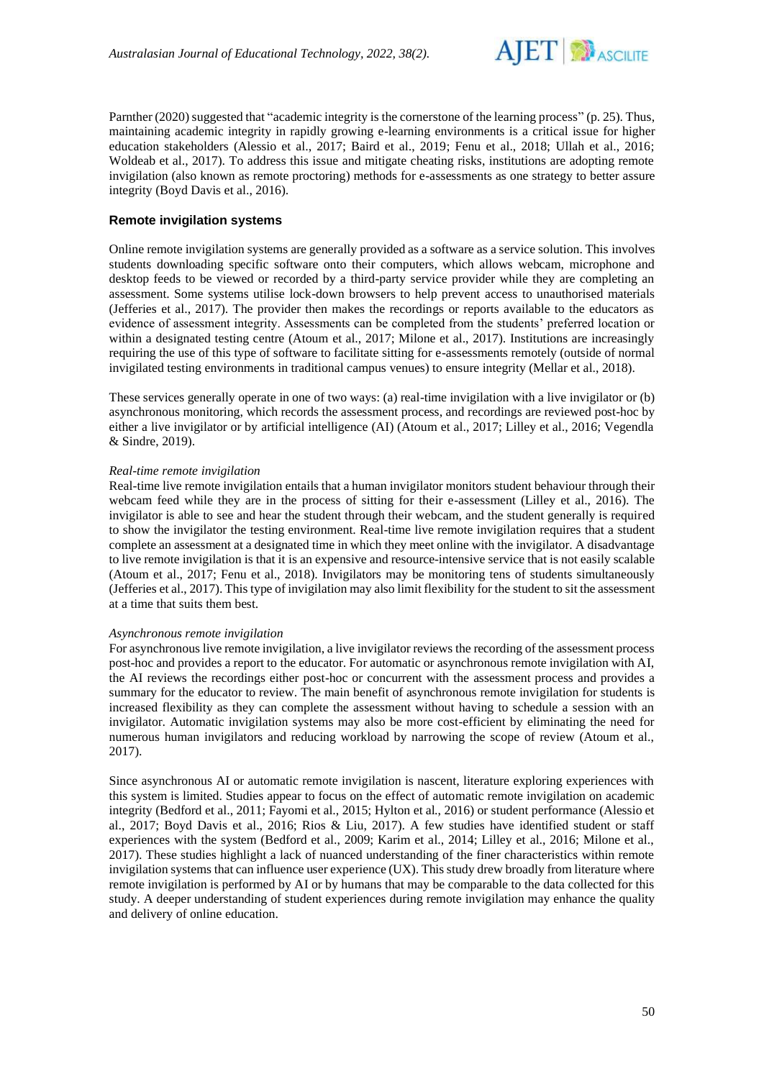

Parnther (2020) suggested that "academic integrity is the cornerstone of the learning process" (p. 25). Thus, maintaining academic integrity in rapidly growing e-learning environments is a critical issue for higher education stakeholders (Alessio et al., 2017; Baird et al., 2019; Fenu et al., 2018; Ullah et al., 2016; Woldeab et al., 2017). To address this issue and mitigate cheating risks, institutions are adopting remote invigilation (also known as remote proctoring) methods for e-assessments as one strategy to better assure integrity (Boyd Davis et al., 2016).

## **Remote invigilation systems**

Online remote invigilation systems are generally provided as a software as a service solution. This involves students downloading specific software onto their computers, which allows webcam, microphone and desktop feeds to be viewed or recorded by a third-party service provider while they are completing an assessment. Some systems utilise lock-down browsers to help prevent access to unauthorised materials (Jefferies et al., 2017). The provider then makes the recordings or reports available to the educators as evidence of assessment integrity. Assessments can be completed from the students' preferred location or within a designated testing centre (Atoum et al., 2017; Milone et al., 2017). Institutions are increasingly requiring the use of this type of software to facilitate sitting for e-assessments remotely (outside of normal invigilated testing environments in traditional campus venues) to ensure integrity (Mellar et al., 2018).

These services generally operate in one of two ways: (a) real-time invigilation with a live invigilator or (b) asynchronous monitoring, which records the assessment process, and recordings are reviewed post-hoc by either a live invigilator or by artificial intelligence (AI) (Atoum et al., 2017; Lilley et al., 2016; Vegendla & Sindre, 2019).

### *Real-time remote invigilation*

Real-time live remote invigilation entails that a human invigilator monitors student behaviour through their webcam feed while they are in the process of sitting for their e-assessment (Lilley et al., 2016). The invigilator is able to see and hear the student through their webcam, and the student generally is required to show the invigilator the testing environment. Real-time live remote invigilation requires that a student complete an assessment at a designated time in which they meet online with the invigilator. A disadvantage to live remote invigilation is that it is an expensive and resource-intensive service that is not easily scalable (Atoum et al., 2017; Fenu et al., 2018). Invigilators may be monitoring tens of students simultaneously (Jefferies et al., 2017). This type of invigilation may also limit flexibility for the student to sit the assessment at a time that suits them best.

#### *Asynchronous remote invigilation*

For asynchronous live remote invigilation, a live invigilator reviews the recording of the assessment process post-hoc and provides a report to the educator. For automatic or asynchronous remote invigilation with AI, the AI reviews the recordings either post-hoc or concurrent with the assessment process and provides a summary for the educator to review. The main benefit of asynchronous remote invigilation for students is increased flexibility as they can complete the assessment without having to schedule a session with an invigilator. Automatic invigilation systems may also be more cost-efficient by eliminating the need for numerous human invigilators and reducing workload by narrowing the scope of review (Atoum et al., 2017).

Since asynchronous AI or automatic remote invigilation is nascent, literature exploring experiences with this system is limited. Studies appear to focus on the effect of automatic remote invigilation on academic integrity (Bedford et al., 2011; Fayomi et al., 2015; Hylton et al., 2016) or student performance (Alessio et al., 2017; Boyd Davis et al., 2016; Rios & Liu, 2017). A few studies have identified student or staff experiences with the system (Bedford et al., 2009; Karim et al., 2014; Lilley et al., 2016; Milone et al., 2017). These studies highlight a lack of nuanced understanding of the finer characteristics within remote invigilation systems that can influence user experience (UX). This study drew broadly from literature where remote invigilation is performed by AI or by humans that may be comparable to the data collected for this study. A deeper understanding of student experiences during remote invigilation may enhance the quality and delivery of online education.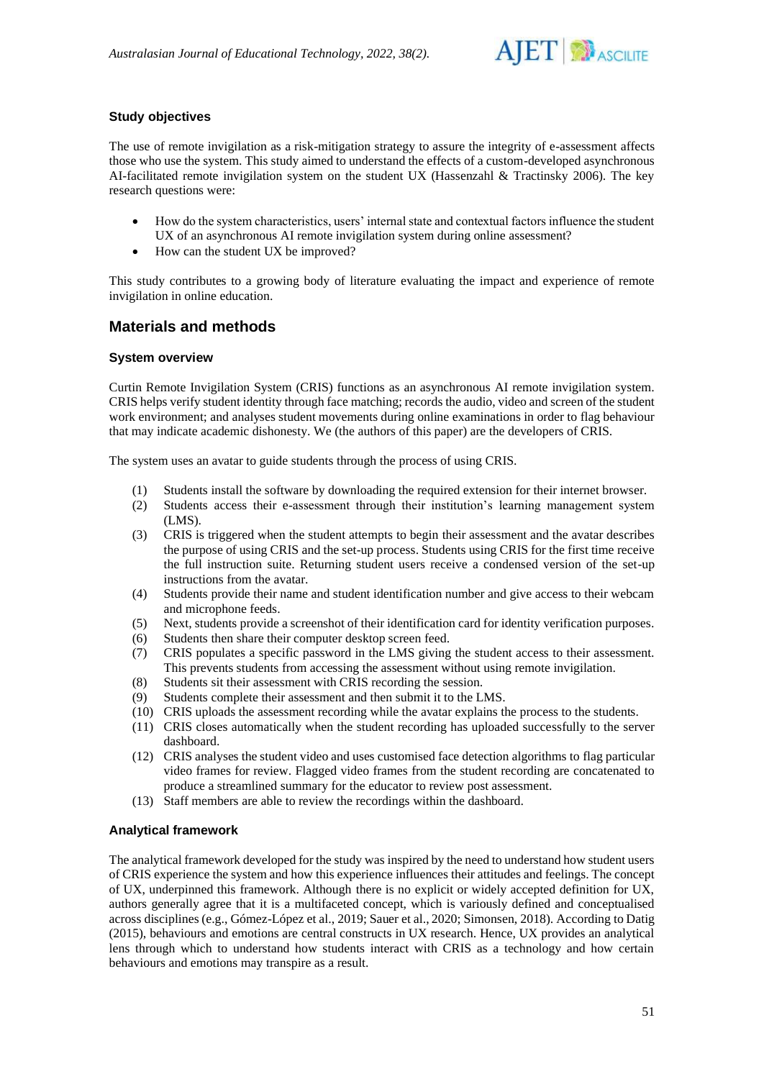

# **Study objectives**

The use of remote invigilation as a risk-mitigation strategy to assure the integrity of e-assessment affects those who use the system. This study aimed to understand the effects of a custom-developed asynchronous AI-facilitated remote invigilation system on the student UX (Hassenzahl & Tractinsky 2006). The key research questions were:

- How do the system characteristics, users' internal state and contextual factors influence the student UX of an asynchronous AI remote invigilation system during online assessment?
- How can the student UX be improved?

This study contributes to a growing body of literature evaluating the impact and experience of remote invigilation in online education.

# **Materials and methods**

# **System overview**

Curtin Remote Invigilation System (CRIS) functions as an asynchronous AI remote invigilation system. CRIS helps verify student identity through face matching; records the audio, video and screen of the student work environment; and analyses student movements during online examinations in order to flag behaviour that may indicate academic dishonesty. We (the authors of this paper) are the developers of CRIS.

The system uses an avatar to guide students through the process of using CRIS.

- (1) Students install the software by downloading the required extension for their internet browser.
- (2) Students access their e-assessment through their institution's learning management system (LMS).
- (3) CRIS is triggered when the student attempts to begin their assessment and the avatar describes the purpose of using CRIS and the set-up process. Students using CRIS for the first time receive the full instruction suite. Returning student users receive a condensed version of the set-up instructions from the avatar.
- (4) Students provide their name and student identification number and give access to their webcam and microphone feeds.
- (5) Next, students provide a screenshot of their identification card for identity verification purposes.
- (6) Students then share their computer desktop screen feed.
- (7) CRIS populates a specific password in the LMS giving the student access to their assessment. This prevents students from accessing the assessment without using remote invigilation.
- (8) Students sit their assessment with CRIS recording the session.
- (9) Students complete their assessment and then submit it to the LMS.
- (10) CRIS uploads the assessment recording while the avatar explains the process to the students.
- (11) CRIS closes automatically when the student recording has uploaded successfully to the server dashboard.
- (12) CRIS analyses the student video and uses customised face detection algorithms to flag particular video frames for review. Flagged video frames from the student recording are concatenated to produce a streamlined summary for the educator to review post assessment.
- (13) Staff members are able to review the recordings within the dashboard.

# **Analytical framework**

The analytical framework developed for the study was inspired by the need to understand how student users of CRIS experience the system and how this experience influences their attitudes and feelings. The concept of UX, underpinned this framework. Although there is no explicit or widely accepted definition for UX, authors generally agree that it is a multifaceted concept, which is variously defined and conceptualised across disciplines (e.g., Gómez-López et al., 2019; Sauer et al., 2020; Simonsen, 2018). According to Datig (2015), behaviours and emotions are central constructs in UX research. Hence, UX provides an analytical lens through which to understand how students interact with CRIS as a technology and how certain behaviours and emotions may transpire as a result.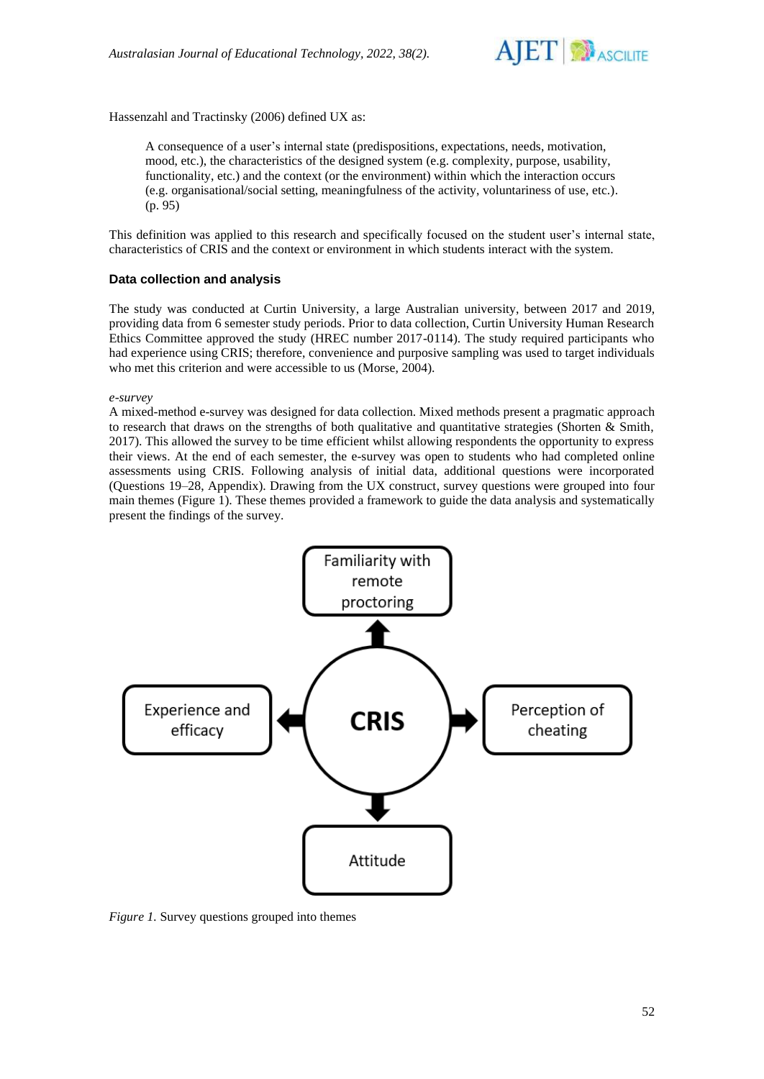

Hassenzahl and Tractinsky (2006) defined UX as:

A consequence of a user's internal state (predispositions, expectations, needs, motivation, mood, etc.), the characteristics of the designed system (e.g. complexity, purpose, usability, functionality, etc.) and the context (or the environment) within which the interaction occurs (e.g. organisational/social setting, meaningfulness of the activity, voluntariness of use, etc.). (p. 95)

This definition was applied to this research and specifically focused on the student user's internal state, characteristics of CRIS and the context or environment in which students interact with the system.

# **Data collection and analysis**

The study was conducted at Curtin University, a large Australian university, between 2017 and 2019, providing data from 6 semester study periods. Prior to data collection, Curtin University Human Research Ethics Committee approved the study (HREC number 2017-0114). The study required participants who had experience using CRIS; therefore, convenience and purposive sampling was used to target individuals who met this criterion and were accessible to us (Morse, 2004).

*e-survey*

A mixed-method e-survey was designed for data collection. Mixed methods present a pragmatic approach to research that draws on the strengths of both qualitative and quantitative strategies (Shorten  $\&$  Smith, 2017). This allowed the survey to be time efficient whilst allowing respondents the opportunity to express their views. At the end of each semester, the e-survey was open to students who had completed online assessments using CRIS. Following analysis of initial data, additional questions were incorporated (Questions 19–28, Appendix). Drawing from the UX construct, survey questions were grouped into four main themes (Figure 1). These themes provided a framework to guide the data analysis and systematically present the findings of the survey.



*Figure 1.* Survey questions grouped into themes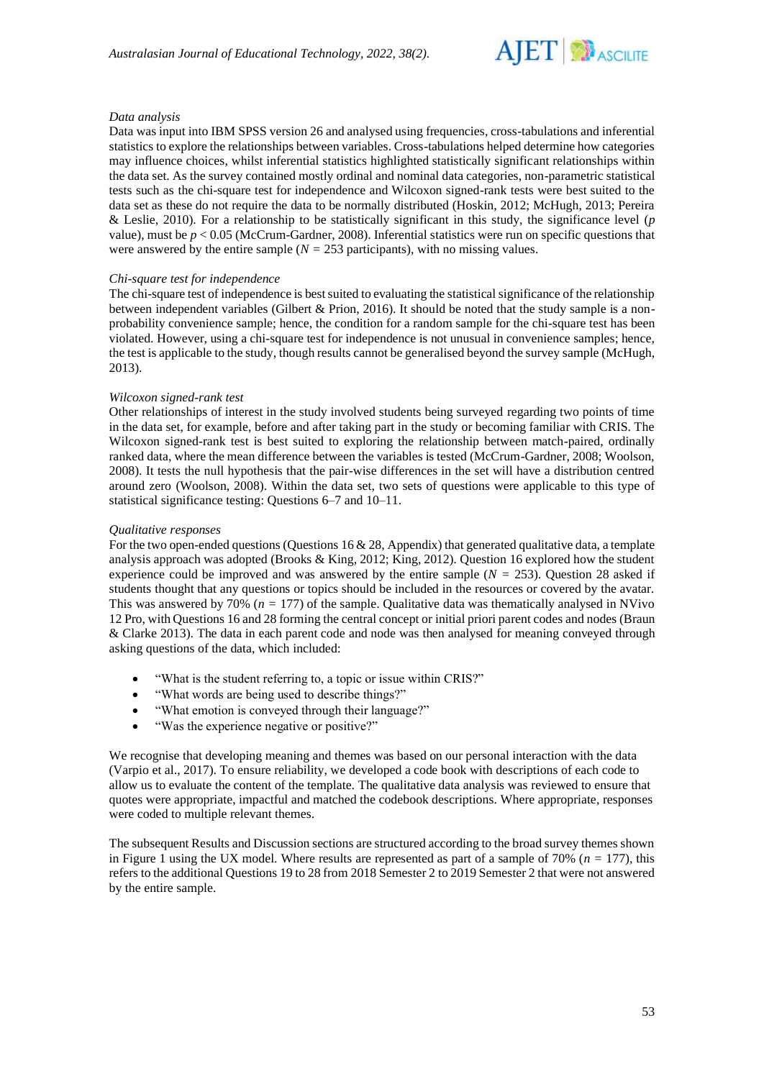

# *Data analysis*

Data was input into IBM SPSS version 26 and analysed using frequencies, cross-tabulations and inferential statistics to explore the relationships between variables. Cross-tabulations helped determine how categories may influence choices, whilst inferential statistics highlighted statistically significant relationships within the data set. As the survey contained mostly ordinal and nominal data categories, non-parametric statistical tests such as the chi-square test for independence and Wilcoxon signed-rank tests were best suited to the data set as these do not require the data to be normally distributed (Hoskin, 2012; McHugh, 2013; Pereira & Leslie, 2010). For a relationship to be statistically significant in this study, the significance level (*p* value), must be  $p < 0.05$  (McCrum-Gardner, 2008). Inferential statistics were run on specific questions that were answered by the entire sample ( $N = 253$  participants), with no missing values.

### *Chi-square test for independence*

The chi-square test of independence is best suited to evaluating the statistical significance of the relationship between independent variables (Gilbert & Prion, 2016). It should be noted that the study sample is a nonprobability convenience sample; hence, the condition for a random sample for the chi-square test has been violated. However, using a chi-square test for independence is not unusual in convenience samples; hence, the test is applicable to the study, though results cannot be generalised beyond the survey sample (McHugh, 2013).

# *Wilcoxon signed-rank test*

Other relationships of interest in the study involved students being surveyed regarding two points of time in the data set, for example, before and after taking part in the study or becoming familiar with CRIS. The Wilcoxon signed-rank test is best suited to exploring the relationship between match-paired, ordinally ranked data, where the mean difference between the variables is tested (McCrum-Gardner, 2008; Woolson, 2008). It tests the null hypothesis that the pair-wise differences in the set will have a distribution centred around zero (Woolson, 2008). Within the data set, two sets of questions were applicable to this type of statistical significance testing: Questions 6–7 and 10–11.

### *Qualitative responses*

For the two open-ended questions (Questions 16 & 28, Appendix) that generated qualitative data, a template analysis approach was adopted (Brooks & King, 2012; King, 2012). Question 16 explored how the student experience could be improved and was answered by the entire sample (*N =* 253). Question 28 asked if students thought that any questions or topics should be included in the resources or covered by the avatar. This was answered by 70% (*n =* 177) of the sample. Qualitative data was thematically analysed in NVivo 12 Pro, with Questions 16 and 28 forming the central concept or initial priori parent codes and nodes (Braun & Clarke 2013). The data in each parent code and node was then analysed for meaning conveyed through asking questions of the data, which included:

- "What is the student referring to, a topic or issue within CRIS?"
- "What words are being used to describe things?"
- "What emotion is conveyed through their language?"
- "Was the experience negative or positive?"

We recognise that developing meaning and themes was based on our personal interaction with the data (Varpio et al., 2017). To ensure reliability, we developed a code book with descriptions of each code to allow us to evaluate the content of the template. The qualitative data analysis was reviewed to ensure that quotes were appropriate, impactful and matched the codebook descriptions. Where appropriate, responses were coded to multiple relevant themes.

The subsequent Results and Discussion sections are structured according to the broad survey themes shown in Figure 1 using the UX model. Where results are represented as part of a sample of  $70\%$  ( $n = 177$ ), this refers to the additional Questions 19 to 28 from 2018 Semester 2 to 2019 Semester 2 that were not answered by the entire sample.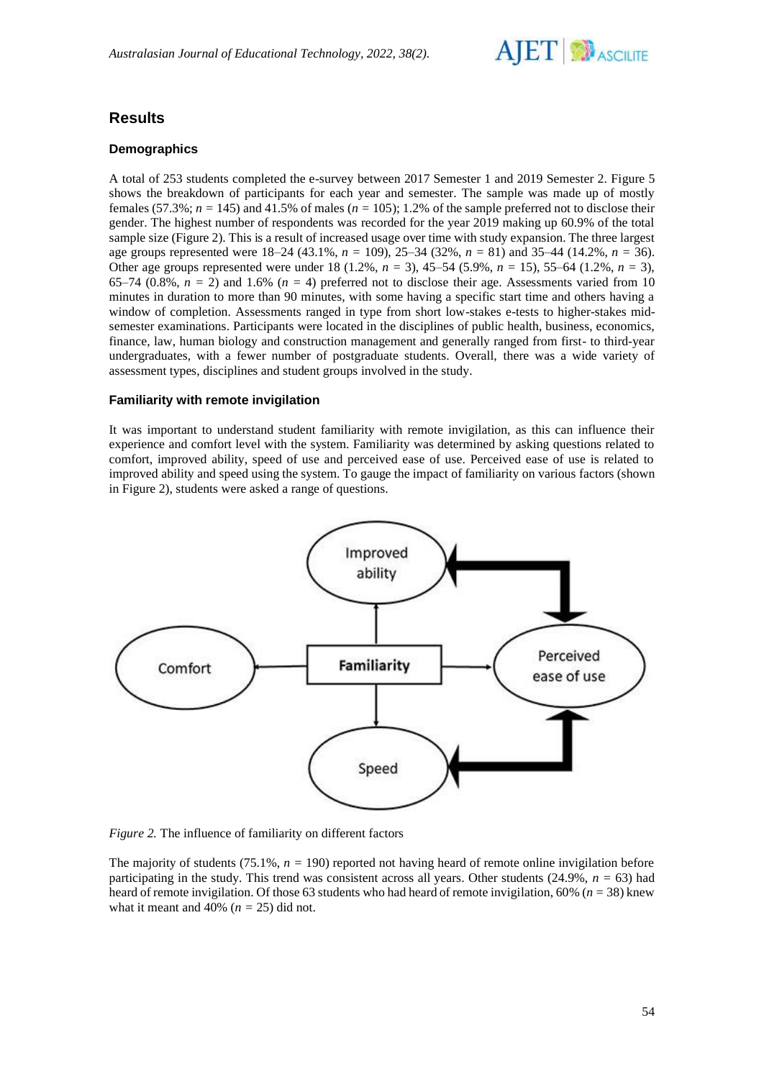

# **Results**

# **Demographics**

A total of 253 students completed the e-survey between 2017 Semester 1 and 2019 Semester 2. Figure 5 shows the breakdown of participants for each year and semester. The sample was made up of mostly females  $(57.3\%; n = 145)$  and  $41.5\%$  of males  $(n = 105)$ ; 1.2% of the sample preferred not to disclose their gender. The highest number of respondents was recorded for the year 2019 making up 60.9% of the total sample size (Figure 2). This is a result of increased usage over time with study expansion. The three largest age groups represented were 18–24 (43.1%, *n =* 109), 25–34 (32%, *n =* 81) and 35–44 (14.2%, *n =* 36). Other age groups represented were under 18 (1.2%, *n =* 3), 45–54 (5.9%, *n =* 15), 55–64 (1.2%, *n =* 3), 65–74 (0.8%,  $n = 2$ ) and 1.6% ( $n = 4$ ) preferred not to disclose their age. Assessments varied from 10 minutes in duration to more than 90 minutes, with some having a specific start time and others having a window of completion. Assessments ranged in type from short low-stakes e-tests to higher-stakes midsemester examinations. Participants were located in the disciplines of public health, business, economics, finance, law, human biology and construction management and generally ranged from first- to third-year undergraduates, with a fewer number of postgraduate students. Overall, there was a wide variety of assessment types, disciplines and student groups involved in the study.

# **Familiarity with remote invigilation**

It was important to understand student familiarity with remote invigilation, as this can influence their experience and comfort level with the system. Familiarity was determined by asking questions related to comfort, improved ability, speed of use and perceived ease of use. Perceived ease of use is related to improved ability and speed using the system. To gauge the impact of familiarity on various factors (shown in Figure 2), students were asked a range of questions.



*Figure 2.* The influence of familiarity on different factors

The majority of students  $(75.1\%, n = 190)$  reported not having heard of remote online invigilation before participating in the study. This trend was consistent across all years. Other students (24.9%, *n =* 63) had heard of remote invigilation. Of those 63 students who had heard of remote invigilation, 60% (*n =* 38) knew what it meant and 40%  $(n = 25)$  did not.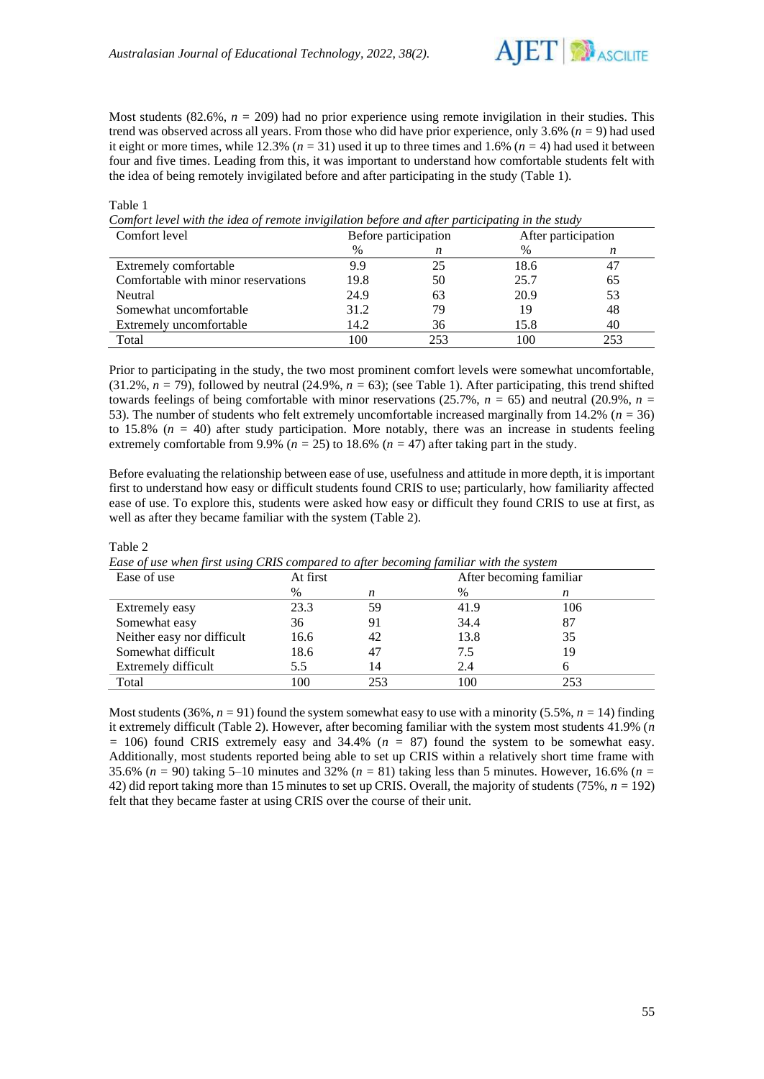Table 1



Most students  $(82.6\%, n = 209)$  had no prior experience using remote invigilation in their studies. This trend was observed across all years. From those who did have prior experience, only 3.6% (*n =* 9) had used it eight or more times, while 12.3% (*n =* 31) used it up to three times and 1.6% (*n =* 4) had used it between four and five times. Leading from this, it was important to understand how comfortable students felt with the idea of being remotely invigilated before and after participating in the study (Table 1).

| Comfort level with the taea of remote invigitation before and after participating in the study |                      |     |                     |     |  |  |
|------------------------------------------------------------------------------------------------|----------------------|-----|---------------------|-----|--|--|
| Comfort level                                                                                  | Before participation |     | After participation |     |  |  |
|                                                                                                | %                    |     | %                   | n   |  |  |
| Extremely comfortable                                                                          | 9.9                  | 25  | 18.6                | 47  |  |  |
| Comfortable with minor reservations                                                            | 19.8                 | 50  | 25.7                | 65  |  |  |
| Neutral                                                                                        | 24.9                 | 63  | 20.9                | 53  |  |  |
| Somewhat uncomfortable                                                                         | 31.2                 | 79  | 19                  | 48  |  |  |
| Extremely uncomfortable                                                                        | 14.2                 | 36  | 15.8                | 40  |  |  |
| Total                                                                                          | 100                  | 253 | 100                 | 253 |  |  |

*Comfort level with the idea of remote invigilation before and after participating in the study*

Prior to participating in the study, the two most prominent comfort levels were somewhat uncomfortable,  $(31.2\%, n = 79)$ , followed by neutral  $(24.9\%, n = 63)$ ; (see Table 1). After participating, this trend shifted towards feelings of being comfortable with minor reservations  $(25.7\%, n = 65)$  and neutral  $(20.9\%, n = 20.9\%)$ 53). The number of students who felt extremely uncomfortable increased marginally from 14.2% (*n =* 36) to 15.8%  $(n = 40)$  after study participation. More notably, there was an increase in students feeling extremely comfortable from 9.9% ( $n = 25$ ) to 18.6% ( $n = 47$ ) after taking part in the study.

Before evaluating the relationship between ease of use, usefulness and attitude in more depth, it is important first to understand how easy or difficult students found CRIS to use; particularly, how familiarity affected ease of use. To explore this, students were asked how easy or difficult they found CRIS to use at first, as well as after they became familiar with the system (Table 2).

| Ease of use when first using CRIS compared to after becoming familiar with the system |          |     |      |                         |  |  |  |
|---------------------------------------------------------------------------------------|----------|-----|------|-------------------------|--|--|--|
| Ease of use                                                                           | At first |     |      | After becoming familiar |  |  |  |
|                                                                                       | $\%$     | n   | $\%$ | n                       |  |  |  |
| Extremely easy                                                                        | 23.3     | 59  | 41.9 | 106                     |  |  |  |
| Somewhat easy                                                                         | 36       | 91  | 34.4 | 87                      |  |  |  |
| Neither easy nor difficult                                                            | 16.6     | 42  | 13.8 | 35                      |  |  |  |
| Somewhat difficult                                                                    | 18.6     | 47  | 7.5  | 19                      |  |  |  |
| Extremely difficult                                                                   | 5.5      | 14  | 2.4  |                         |  |  |  |
| Total                                                                                 | 100      | 253 | 100  | 253                     |  |  |  |

Table 2

Most students (36%,  $n = 91$ ) found the system somewhat easy to use with a minority (5.5%,  $n = 14$ ) finding it extremely difficult (Table 2). However, after becoming familiar with the system most students 41.9% (*n =* 106) found CRIS extremely easy and 34.4% (*n =* 87) found the system to be somewhat easy. Additionally, most students reported being able to set up CRIS within a relatively short time frame with 35.6% (*n =* 90) taking 5–10 minutes and 32% (*n =* 81) taking less than 5 minutes. However, 16.6% (*n =*  42) did report taking more than 15 minutes to set up CRIS. Overall, the majority of students (75%, *n =* 192) felt that they became faster at using CRIS over the course of their unit.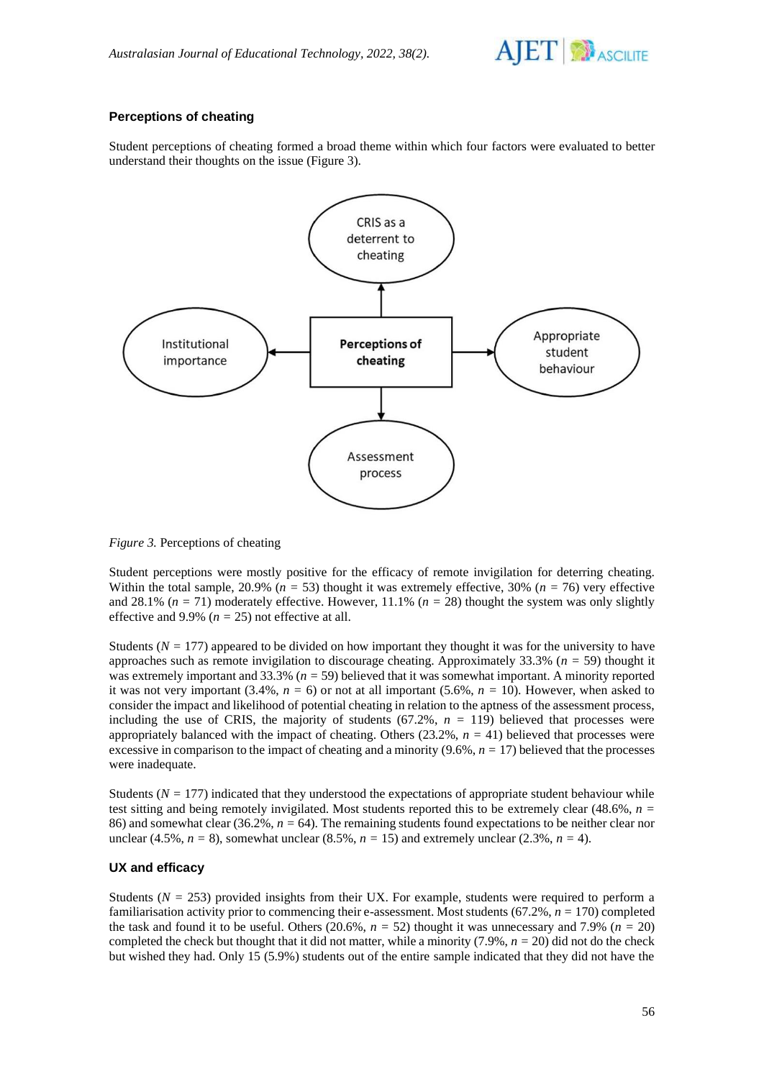

# **Perceptions of cheating**

Student perceptions of cheating formed a broad theme within which four factors were evaluated to better understand their thoughts on the issue (Figure 3).



*Figure 3.* Perceptions of cheating

Student perceptions were mostly positive for the efficacy of remote invigilation for deterring cheating. Within the total sample, 20.9% ( $n = 53$ ) thought it was extremely effective, 30% ( $n = 76$ ) very effective and 28.1% (*n =* 71) moderately effective. However, 11.1% (*n =* 28) thought the system was only slightly effective and 9.9% ( $n = 25$ ) not effective at all.

Students ( $N = 177$ ) appeared to be divided on how important they thought it was for the university to have approaches such as remote invigilation to discourage cheating. Approximately 33.3% (*n =* 59) thought it was extremely important and 33.3% (*n =* 59) believed that it was somewhat important. A minority reported it was not very important  $(3.4\%, n = 6)$  or not at all important  $(5.6\%, n = 10)$ . However, when asked to consider the impact and likelihood of potential cheating in relation to the aptness of the assessment process, including the use of CRIS, the majority of students  $(67.2\%, n = 119)$  believed that processes were appropriately balanced with the impact of cheating. Others (23.2%, *n =* 41) believed that processes were excessive in comparison to the impact of cheating and a minority  $(9.6\%, n = 17)$  believed that the processes were inadequate.

Students ( $N = 177$ ) indicated that they understood the expectations of appropriate student behaviour while test sitting and being remotely invigilated. Most students reported this to be extremely clear (48.6%, *n =*  86) and somewhat clear (36.2%, *n =* 64). The remaining students found expectations to be neither clear nor unclear (4.5%,  $n = 8$ ), somewhat unclear (8.5%,  $n = 15$ ) and extremely unclear (2.3%,  $n = 4$ ).

# **UX and efficacy**

Students ( $N = 253$ ) provided insights from their UX. For example, students were required to perform a familiarisation activity prior to commencing their e-assessment. Most students (67.2%, *n =* 170) completed the task and found it to be useful. Others  $(20.6\%, n = 52)$  thought it was unnecessary and 7.9%  $(n = 20)$ completed the check but thought that it did not matter, while a minority  $(7.9\%, n = 20)$  did not do the check but wished they had. Only 15 (5.9%) students out of the entire sample indicated that they did not have the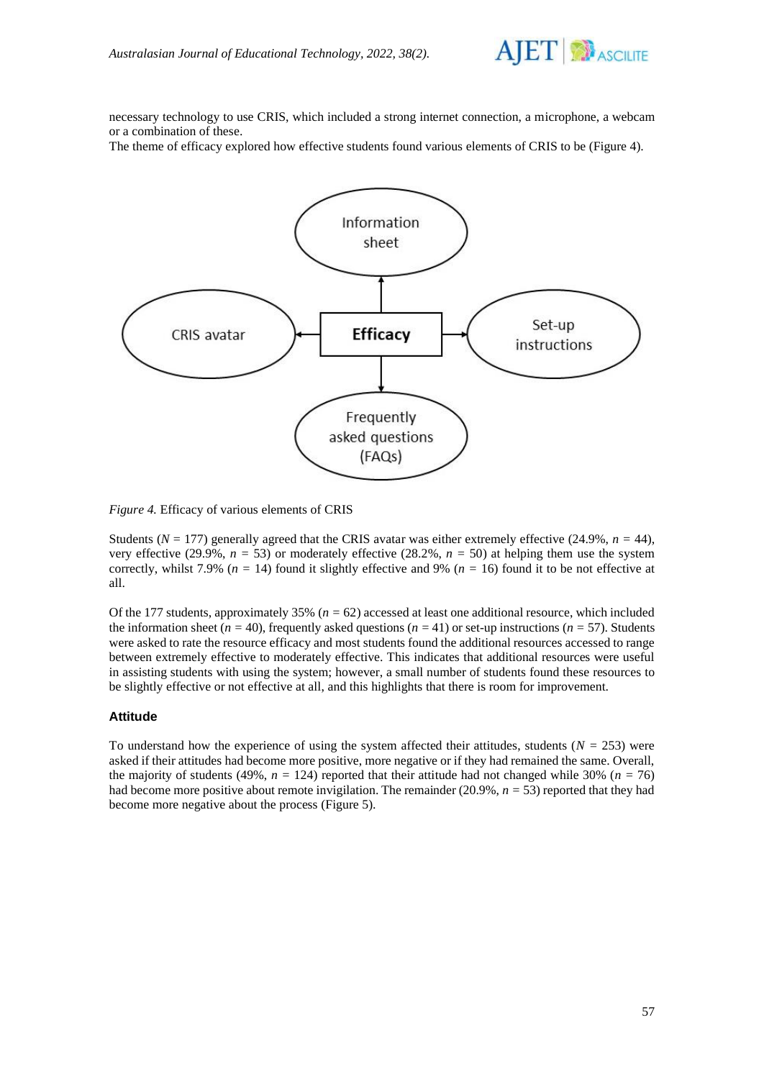

necessary technology to use CRIS, which included a strong internet connection, a microphone, a webcam or a combination of these.

The theme of efficacy explored how effective students found various elements of CRIS to be (Figure 4).



*Figure 4.* Efficacy of various elements of CRIS

Students ( $N = 177$ ) generally agreed that the CRIS avatar was either extremely effective (24.9%,  $n = 44$ ), very effective (29.9%,  $n = 53$ ) or moderately effective (28.2%,  $n = 50$ ) at helping them use the system correctly, whilst 7.9% (*n =* 14) found it slightly effective and 9% (*n =* 16) found it to be not effective at all.

Of the 177 students, approximately 35% (*n =* 62) accessed at least one additional resource, which included the information sheet ( $n = 40$ ), frequently asked questions ( $n = 41$ ) or set-up instructions ( $n = 57$ ). Students were asked to rate the resource efficacy and most students found the additional resources accessed to range between extremely effective to moderately effective. This indicates that additional resources were useful in assisting students with using the system; however, a small number of students found these resources to be slightly effective or not effective at all, and this highlights that there is room for improvement.

### **Attitude**

To understand how the experience of using the system affected their attitudes, students (*N =* 253) were asked if their attitudes had become more positive, more negative or if they had remained the same. Overall, the majority of students (49%,  $n = 124$ ) reported that their attitude had not changed while 30% ( $n = 76$ ) had become more positive about remote invigilation. The remainder (20.9%, *n =* 53) reported that they had become more negative about the process (Figure 5).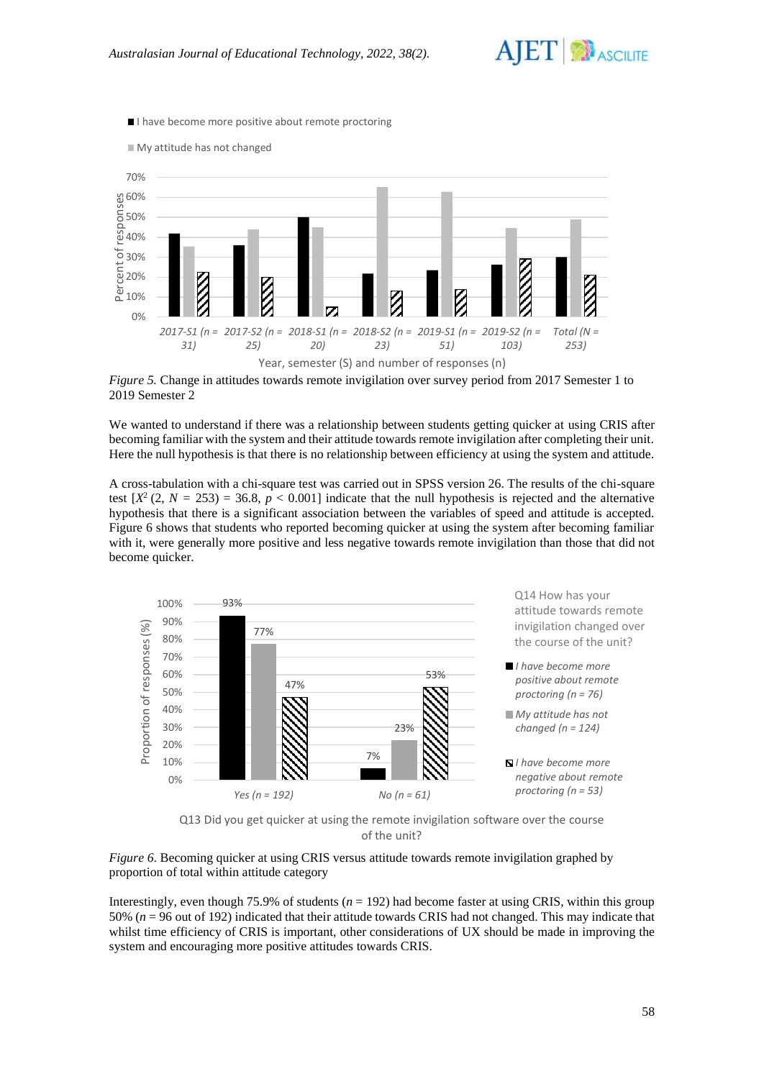

I have become more positive about remote proctoring



*Figure 5.* Change in attitudes towards remote invigilation over survey period from 2017 Semester 1 to 2019 Semester 2

We wanted to understand if there was a relationship between students getting quicker at using CRIS after becoming familiar with the system and their attitude towards remote invigilation after completing their unit. Here the null hypothesis is that there is no relationship between efficiency at using the system and attitude.

A cross-tabulation with a chi-square test was carried out in SPSS version 26. The results of the chi-square test  $[X^2 (2, N = 253) = 36.8, p < 0.001]$  indicate that the null hypothesis is rejected and the alternative hypothesis that there is a significant association between the variables of speed and attitude is accepted. Figure 6 shows that students who reported becoming quicker at using the system after becoming familiar with it, were generally more positive and less negative towards remote invigilation than those that did not become quicker.



Q13 Did you get quicker at using the remote invigilation software over the course of the unit?

*Figure 6*. Becoming quicker at using CRIS versus attitude towards remote invigilation graphed by proportion of total within attitude category

Interestingly, even though 75.9% of students  $(n = 192)$  had become faster at using CRIS, within this group 50% (*n* = 96 out of 192) indicated that their attitude towards CRIS had not changed. This may indicate that whilst time efficiency of CRIS is important, other considerations of UX should be made in improving the system and encouraging more positive attitudes towards CRIS.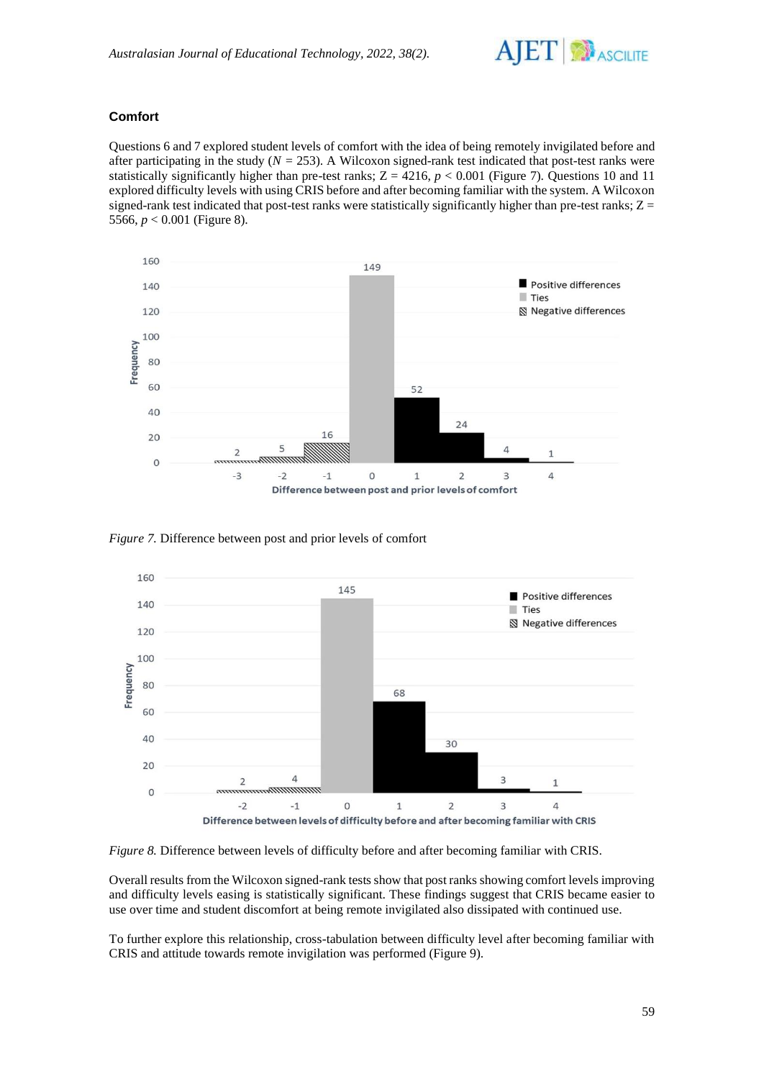

# **Comfort**

Questions 6 and 7 explored student levels of comfort with the idea of being remotely invigilated before and after participating in the study  $(N = 253)$ . A Wilcoxon signed-rank test indicated that post-test ranks were statistically significantly higher than pre-test ranks;  $Z = 4216$ ,  $p < 0.001$  (Figure 7). Questions 10 and 11 explored difficulty levels with using CRIS before and after becoming familiar with the system. A Wilcoxon signed-rank test indicated that post-test ranks were statistically significantly higher than pre-test ranks;  $Z =$ 5566, *p* < 0.001 (Figure 8).



*Figure 7.* Difference between post and prior levels of comfort



*Figure 8.* Difference between levels of difficulty before and after becoming familiar with CRIS.

Overall results from the Wilcoxon signed-rank tests show that post ranks showing comfort levels improving and difficulty levels easing is statistically significant. These findings suggest that CRIS became easier to use over time and student discomfort at being remote invigilated also dissipated with continued use.

To further explore this relationship, cross-tabulation between difficulty level after becoming familiar with CRIS and attitude towards remote invigilation was performed (Figure 9).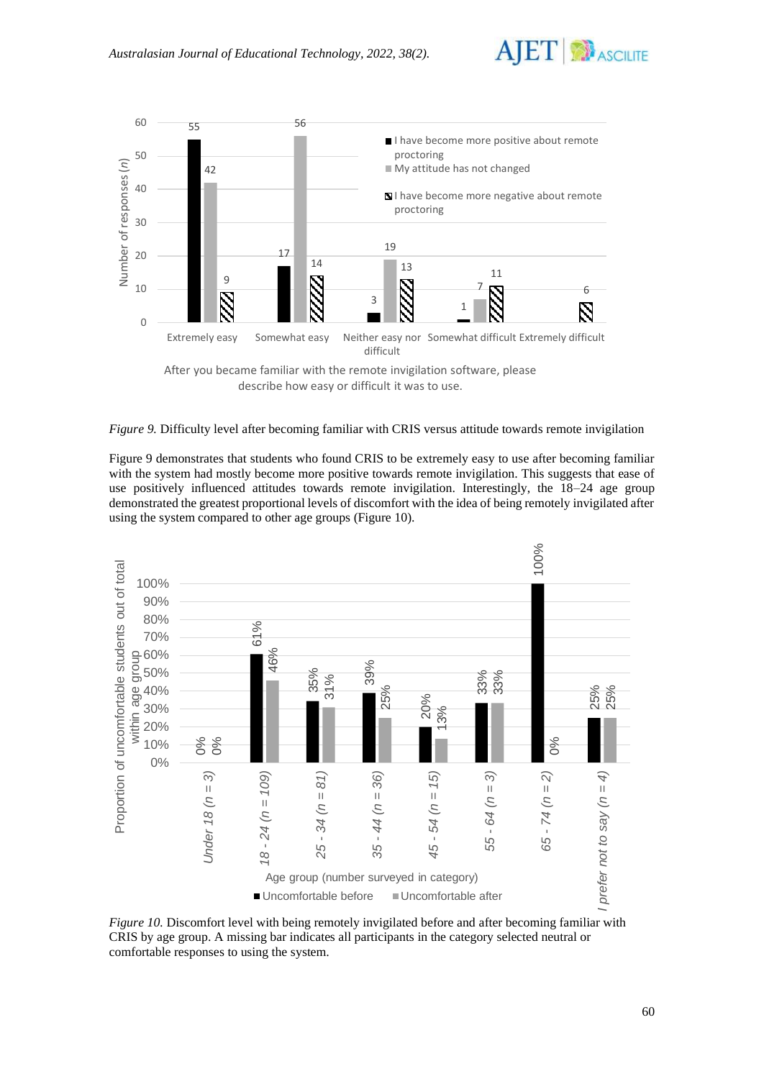



*Figure 9.* Difficulty level after becoming familiar with CRIS versus attitude towards remote invigilation

Figure 9 demonstrates that students who found CRIS to be extremely easy to use after becoming familiar with the system had mostly become more positive towards remote invigilation. This suggests that ease of use positively influenced attitudes towards remote invigilation. Interestingly, the 18–24 age group demonstrated the greatest proportional levels of discomfort with the idea of being remotely invigilated after using the system compared to other age groups (Figure 10).



*Figure 10.* Discomfort level with being remotely invigilated before and after becoming familiar with CRIS by age group. A missing bar indicates all participants in the category selected neutral or comfortable responses to using the system.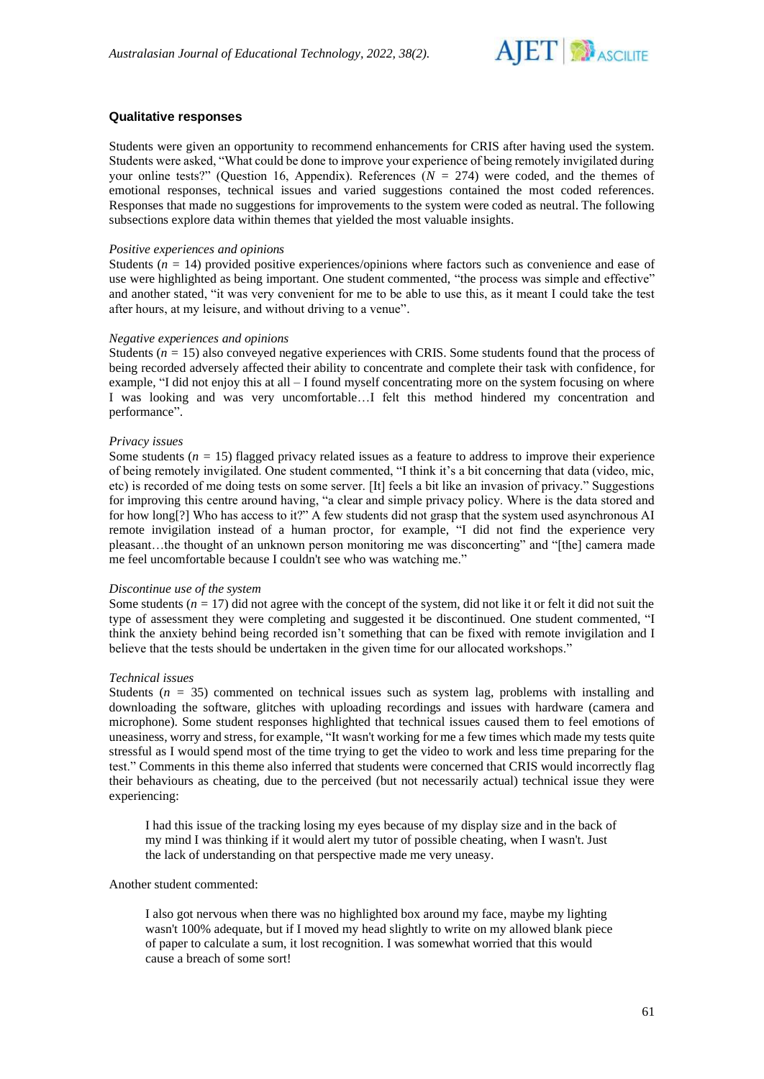

## **Qualitative responses**

Students were given an opportunity to recommend enhancements for CRIS after having used the system. Students were asked, "What could be done to improve your experience of being remotely invigilated during your online tests?" (Question 16, Appendix). References (*N =* 274) were coded, and the themes of emotional responses, technical issues and varied suggestions contained the most coded references. Responses that made no suggestions for improvements to the system were coded as neutral. The following subsections explore data within themes that yielded the most valuable insights.

#### *Positive experiences and opinions*

Students (*n =* 14) provided positive experiences/opinions where factors such as convenience and ease of use were highlighted as being important. One student commented, "the process was simple and effective" and another stated, "it was very convenient for me to be able to use this, as it meant I could take the test after hours, at my leisure, and without driving to a venue".

### *Negative experiences and opinions*

Students  $(n = 15)$  also conveyed negative experiences with CRIS. Some students found that the process of being recorded adversely affected their ability to concentrate and complete their task with confidence, for example, "I did not enjoy this at all – I found myself concentrating more on the system focusing on where I was looking and was very uncomfortable…I felt this method hindered my concentration and performance".

#### *Privacy issues*

Some students  $(n = 15)$  flagged privacy related issues as a feature to address to improve their experience of being remotely invigilated. One student commented, "I think it's a bit concerning that data (video, mic, etc) is recorded of me doing tests on some server. [It] feels a bit like an invasion of privacy." Suggestions for improving this centre around having, "a clear and simple privacy policy. Where is the data stored and for how long[?] Who has access to it?" A few students did not grasp that the system used asynchronous AI remote invigilation instead of a human proctor, for example, "I did not find the experience very pleasant…the thought of an unknown person monitoring me was disconcerting" and "[the] camera made me feel uncomfortable because I couldn't see who was watching me."

#### *Discontinue use of the system*

Some students  $(n = 17)$  did not agree with the concept of the system, did not like it or felt it did not suit the type of assessment they were completing and suggested it be discontinued. One student commented, "I think the anxiety behind being recorded isn't something that can be fixed with remote invigilation and I believe that the tests should be undertaken in the given time for our allocated workshops."

#### *Technical issues*

Students  $(n = 35)$  commented on technical issues such as system lag, problems with installing and downloading the software, glitches with uploading recordings and issues with hardware (camera and microphone). Some student responses highlighted that technical issues caused them to feel emotions of uneasiness, worry and stress, for example, "It wasn't working for me a few times which made my tests quite stressful as I would spend most of the time trying to get the video to work and less time preparing for the test." Comments in this theme also inferred that students were concerned that CRIS would incorrectly flag their behaviours as cheating, due to the perceived (but not necessarily actual) technical issue they were experiencing:

I had this issue of the tracking losing my eyes because of my display size and in the back of my mind I was thinking if it would alert my tutor of possible cheating, when I wasn't. Just the lack of understanding on that perspective made me very uneasy.

#### Another student commented:

I also got nervous when there was no highlighted box around my face, maybe my lighting wasn't 100% adequate, but if I moved my head slightly to write on my allowed blank piece of paper to calculate a sum, it lost recognition. I was somewhat worried that this would cause a breach of some sort!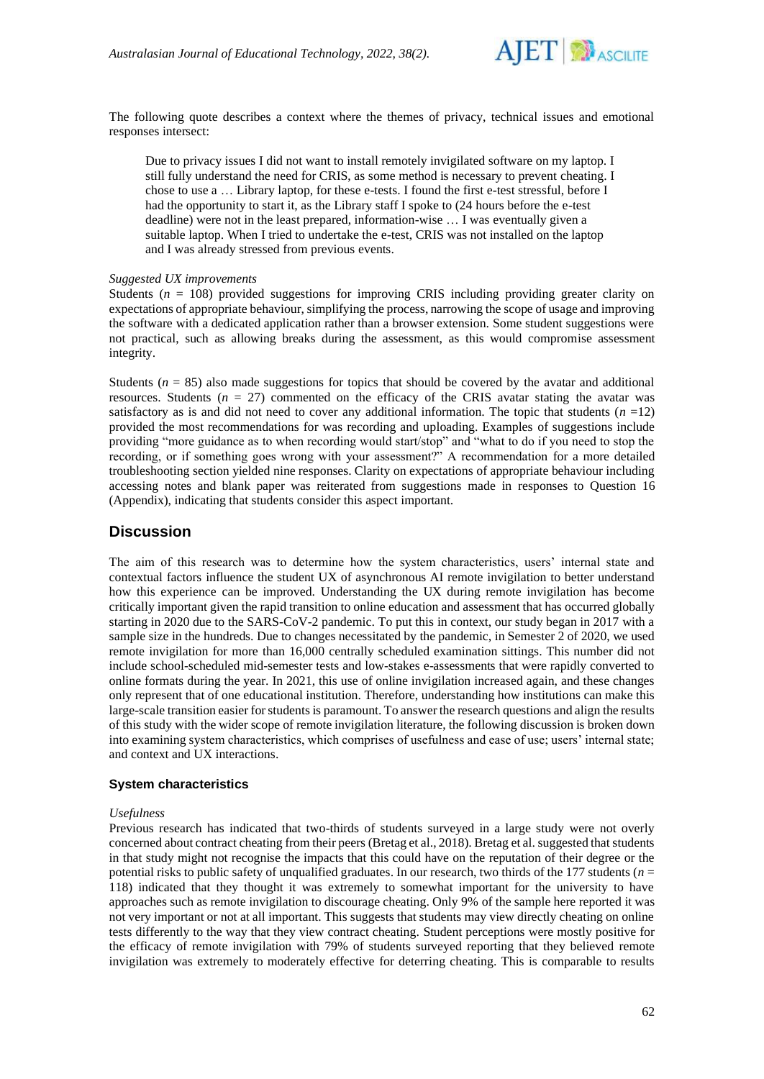

The following quote describes a context where the themes of privacy, technical issues and emotional responses intersect:

Due to privacy issues I did not want to install remotely invigilated software on my laptop. I still fully understand the need for CRIS, as some method is necessary to prevent cheating. I chose to use a … Library laptop, for these e-tests. I found the first e-test stressful, before I had the opportunity to start it, as the Library staff I spoke to (24 hours before the e-test deadline) were not in the least prepared, information-wise … I was eventually given a suitable laptop. When I tried to undertake the e-test, CRIS was not installed on the laptop and I was already stressed from previous events.

## *Suggested UX improvements*

Students ( $n = 108$ ) provided suggestions for improving CRIS including providing greater clarity on expectations of appropriate behaviour, simplifying the process, narrowing the scope of usage and improving the software with a dedicated application rather than a browser extension. Some student suggestions were not practical, such as allowing breaks during the assessment, as this would compromise assessment integrity.

Students ( $n = 85$ ) also made suggestions for topics that should be covered by the avatar and additional resources. Students  $(n = 27)$  commented on the efficacy of the CRIS avatar stating the avatar was satisfactory as is and did not need to cover any additional information. The topic that students  $(n = 12)$ provided the most recommendations for was recording and uploading. Examples of suggestions include providing "more guidance as to when recording would start/stop" and "what to do if you need to stop the recording, or if something goes wrong with your assessment?" A recommendation for a more detailed troubleshooting section yielded nine responses. Clarity on expectations of appropriate behaviour including accessing notes and blank paper was reiterated from suggestions made in responses to Question 16 (Appendix), indicating that students consider this aspect important.

# **Discussion**

The aim of this research was to determine how the system characteristics, users' internal state and contextual factors influence the student UX of asynchronous AI remote invigilation to better understand how this experience can be improved. Understanding the UX during remote invigilation has become critically important given the rapid transition to online education and assessment that has occurred globally starting in 2020 due to the SARS-CoV-2 pandemic. To put this in context, our study began in 2017 with a sample size in the hundreds. Due to changes necessitated by the pandemic, in Semester 2 of 2020, we used remote invigilation for more than 16,000 centrally scheduled examination sittings. This number did not include school-scheduled mid-semester tests and low-stakes e-assessments that were rapidly converted to online formats during the year. In 2021, this use of online invigilation increased again, and these changes only represent that of one educational institution. Therefore, understanding how institutions can make this large-scale transition easier for students is paramount. To answer the research questions and align the results of this study with the wider scope of remote invigilation literature, the following discussion is broken down into examining system characteristics, which comprises of usefulness and ease of use; users' internal state; and context and UX interactions.

#### **System characteristics**

### *Usefulness*

Previous research has indicated that two-thirds of students surveyed in a large study were not overly concerned about contract cheating from their peers (Bretag et al., 2018). Bretag et al. suggested that students in that study might not recognise the impacts that this could have on the reputation of their degree or the potential risks to public safety of unqualified graduates. In our research, two thirds of the 177 students (*n* = 118) indicated that they thought it was extremely to somewhat important for the university to have approaches such as remote invigilation to discourage cheating. Only 9% of the sample here reported it was not very important or not at all important. This suggests that students may view directly cheating on online tests differently to the way that they view contract cheating. Student perceptions were mostly positive for the efficacy of remote invigilation with 79% of students surveyed reporting that they believed remote invigilation was extremely to moderately effective for deterring cheating. This is comparable to results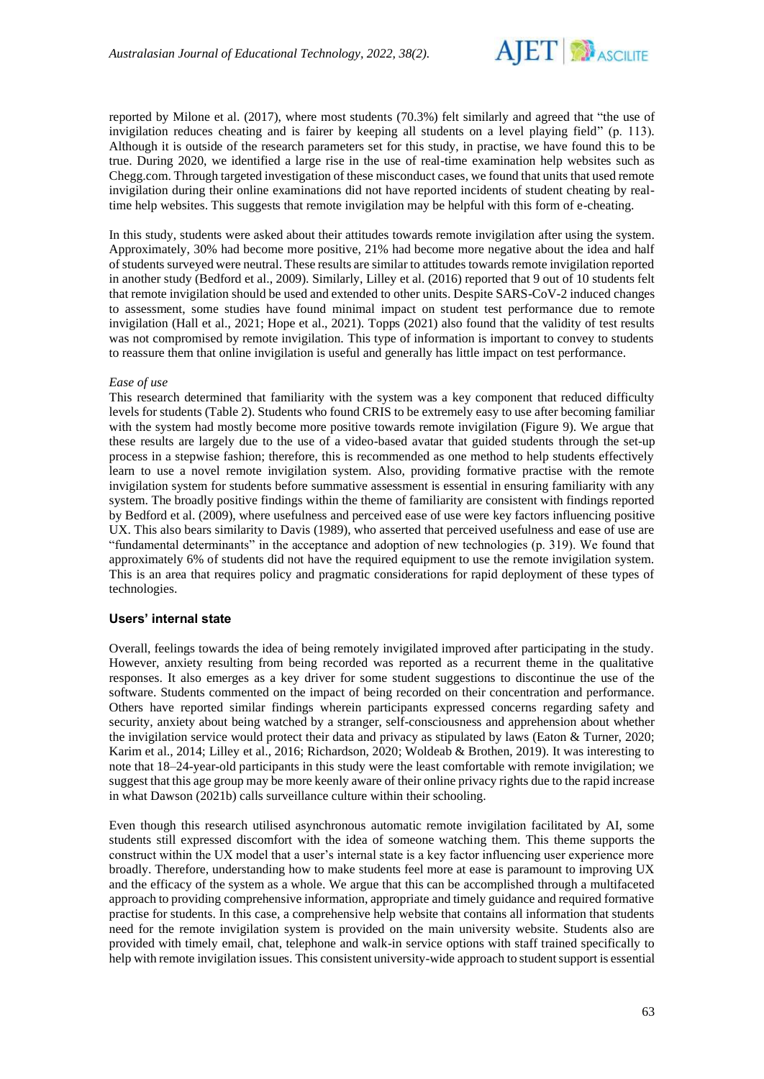

reported by Milone et al. (2017), where most students (70.3%) felt similarly and agreed that "the use of invigilation reduces cheating and is fairer by keeping all students on a level playing field" (p. 113). Although it is outside of the research parameters set for this study, in practise, we have found this to be true. During 2020, we identified a large rise in the use of real-time examination help websites such as Chegg.com. Through targeted investigation of these misconduct cases, we found that units that used remote invigilation during their online examinations did not have reported incidents of student cheating by realtime help websites. This suggests that remote invigilation may be helpful with this form of e-cheating.

In this study, students were asked about their attitudes towards remote invigilation after using the system. Approximately, 30% had become more positive, 21% had become more negative about the idea and half of students surveyed were neutral. These results are similar to attitudes towards remote invigilation reported in another study (Bedford et al., 2009). Similarly, Lilley et al. (2016) reported that 9 out of 10 students felt that remote invigilation should be used and extended to other units. Despite SARS-CoV-2 induced changes to assessment, some studies have found minimal impact on student test performance due to remote invigilation (Hall et al., 2021; Hope et al., 2021). Topps (2021) also found that the validity of test results was not compromised by remote invigilation. This type of information is important to convey to students to reassure them that online invigilation is useful and generally has little impact on test performance.

#### *Ease of use*

This research determined that familiarity with the system was a key component that reduced difficulty levels for students (Table 2). Students who found CRIS to be extremely easy to use after becoming familiar with the system had mostly become more positive towards remote invigilation (Figure 9). We argue that these results are largely due to the use of a video-based avatar that guided students through the set-up process in a stepwise fashion; therefore, this is recommended as one method to help students effectively learn to use a novel remote invigilation system. Also, providing formative practise with the remote invigilation system for students before summative assessment is essential in ensuring familiarity with any system. The broadly positive findings within the theme of familiarity are consistent with findings reported by Bedford et al. (2009), where usefulness and perceived ease of use were key factors influencing positive UX. This also bears similarity to Davis (1989), who asserted that perceived usefulness and ease of use are "fundamental determinants" in the acceptance and adoption of new technologies (p. 319). We found that approximately 6% of students did not have the required equipment to use the remote invigilation system. This is an area that requires policy and pragmatic considerations for rapid deployment of these types of technologies.

#### **Users' internal state**

Overall, feelings towards the idea of being remotely invigilated improved after participating in the study. However, anxiety resulting from being recorded was reported as a recurrent theme in the qualitative responses. It also emerges as a key driver for some student suggestions to discontinue the use of the software. Students commented on the impact of being recorded on their concentration and performance. Others have reported similar findings wherein participants expressed concerns regarding safety and security, anxiety about being watched by a stranger, self-consciousness and apprehension about whether the invigilation service would protect their data and privacy as stipulated by laws (Eaton & Turner, 2020; Karim et al., 2014; Lilley et al., 2016; Richardson, 2020; Woldeab & Brothen, 2019). It was interesting to note that 18–24-year-old participants in this study were the least comfortable with remote invigilation; we suggest that this age group may be more keenly aware of their online privacy rights due to the rapid increase in what Dawson (2021b) calls surveillance culture within their schooling.

Even though this research utilised asynchronous automatic remote invigilation facilitated by AI, some students still expressed discomfort with the idea of someone watching them. This theme supports the construct within the UX model that a user's internal state is a key factor influencing user experience more broadly. Therefore, understanding how to make students feel more at ease is paramount to improving UX and the efficacy of the system as a whole. We argue that this can be accomplished through a multifaceted approach to providing comprehensive information, appropriate and timely guidance and required formative practise for students. In this case, a comprehensive help website that contains all information that students need for the remote invigilation system is provided on the main university website. Students also are provided with timely email, chat, telephone and walk-in service options with staff trained specifically to help with remote invigilation issues. This consistent university-wide approach to student support is essential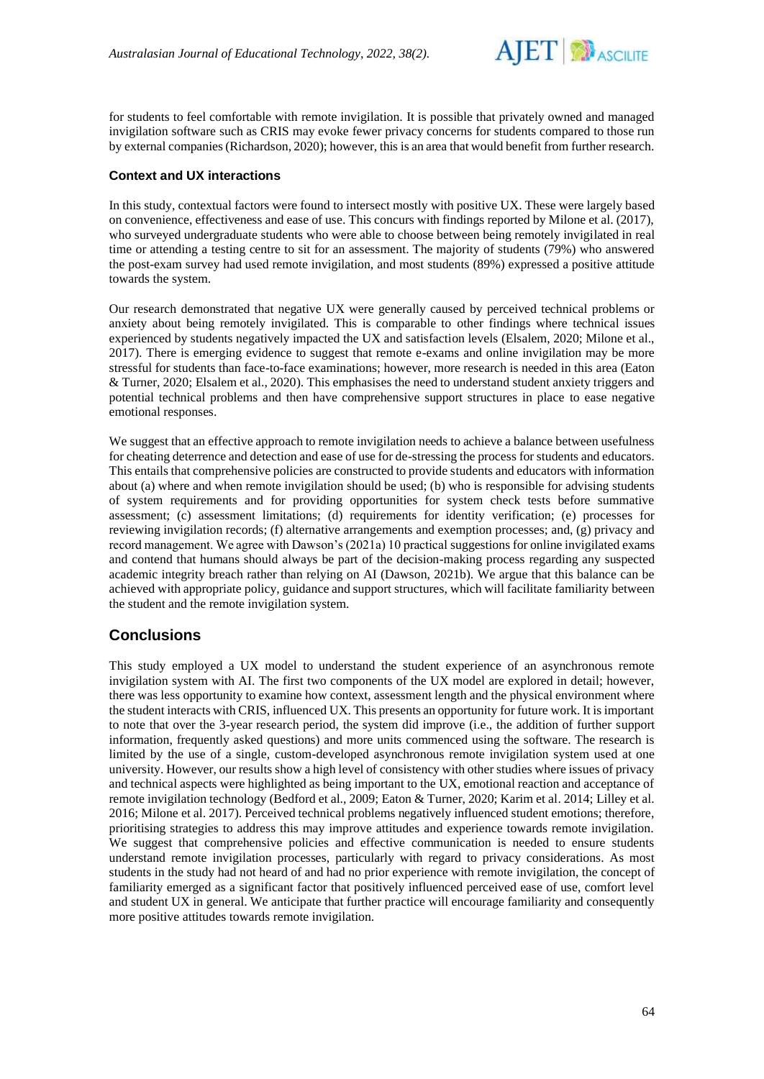

for students to feel comfortable with remote invigilation. It is possible that privately owned and managed invigilation software such as CRIS may evoke fewer privacy concerns for students compared to those run by external companies (Richardson, 2020); however, this is an area that would benefit from further research.

## **Context and UX interactions**

In this study, contextual factors were found to intersect mostly with positive UX. These were largely based on convenience, effectiveness and ease of use. This concurs with findings reported by Milone et al. (2017), who surveyed undergraduate students who were able to choose between being remotely invigilated in real time or attending a testing centre to sit for an assessment. The majority of students (79%) who answered the post-exam survey had used remote invigilation, and most students (89%) expressed a positive attitude towards the system.

Our research demonstrated that negative UX were generally caused by perceived technical problems or anxiety about being remotely invigilated. This is comparable to other findings where technical issues experienced by students negatively impacted the UX and satisfaction levels (Elsalem, 2020; Milone et al., 2017). There is emerging evidence to suggest that remote e-exams and online invigilation may be more stressful for students than face-to-face examinations; however, more research is needed in this area (Eaton & Turner, 2020; Elsalem et al., 2020). This emphasises the need to understand student anxiety triggers and potential technical problems and then have comprehensive support structures in place to ease negative emotional responses.

We suggest that an effective approach to remote invigilation needs to achieve a balance between usefulness for cheating deterrence and detection and ease of use for de-stressing the process for students and educators. This entails that comprehensive policies are constructed to provide students and educators with information about (a) where and when remote invigilation should be used; (b) who is responsible for advising students of system requirements and for providing opportunities for system check tests before summative assessment; (c) assessment limitations; (d) requirements for identity verification; (e) processes for reviewing invigilation records; (f) alternative arrangements and exemption processes; and, (g) privacy and record management. We agree with Dawson's (2021a) 10 practical suggestions for online invigilated exams and contend that humans should always be part of the decision-making process regarding any suspected academic integrity breach rather than relying on AI (Dawson, 2021b). We argue that this balance can be achieved with appropriate policy, guidance and support structures, which will facilitate familiarity between the student and the remote invigilation system.

# **Conclusions**

This study employed a UX model to understand the student experience of an asynchronous remote invigilation system with AI. The first two components of the UX model are explored in detail; however, there was less opportunity to examine how context, assessment length and the physical environment where the student interacts with CRIS, influenced UX. This presents an opportunity for future work. It is important to note that over the 3-year research period, the system did improve (i.e., the addition of further support information, frequently asked questions) and more units commenced using the software. The research is limited by the use of a single, custom-developed asynchronous remote invigilation system used at one university. However, our results show a high level of consistency with other studies where issues of privacy and technical aspects were highlighted as being important to the UX, emotional reaction and acceptance of remote invigilation technology (Bedford et al., 2009; Eaton & Turner, 2020; Karim et al. 2014; Lilley et al. 2016; Milone et al. 2017). Perceived technical problems negatively influenced student emotions; therefore, prioritising strategies to address this may improve attitudes and experience towards remote invigilation. We suggest that comprehensive policies and effective communication is needed to ensure students understand remote invigilation processes, particularly with regard to privacy considerations. As most students in the study had not heard of and had no prior experience with remote invigilation, the concept of familiarity emerged as a significant factor that positively influenced perceived ease of use, comfort level and student UX in general. We anticipate that further practice will encourage familiarity and consequently more positive attitudes towards remote invigilation.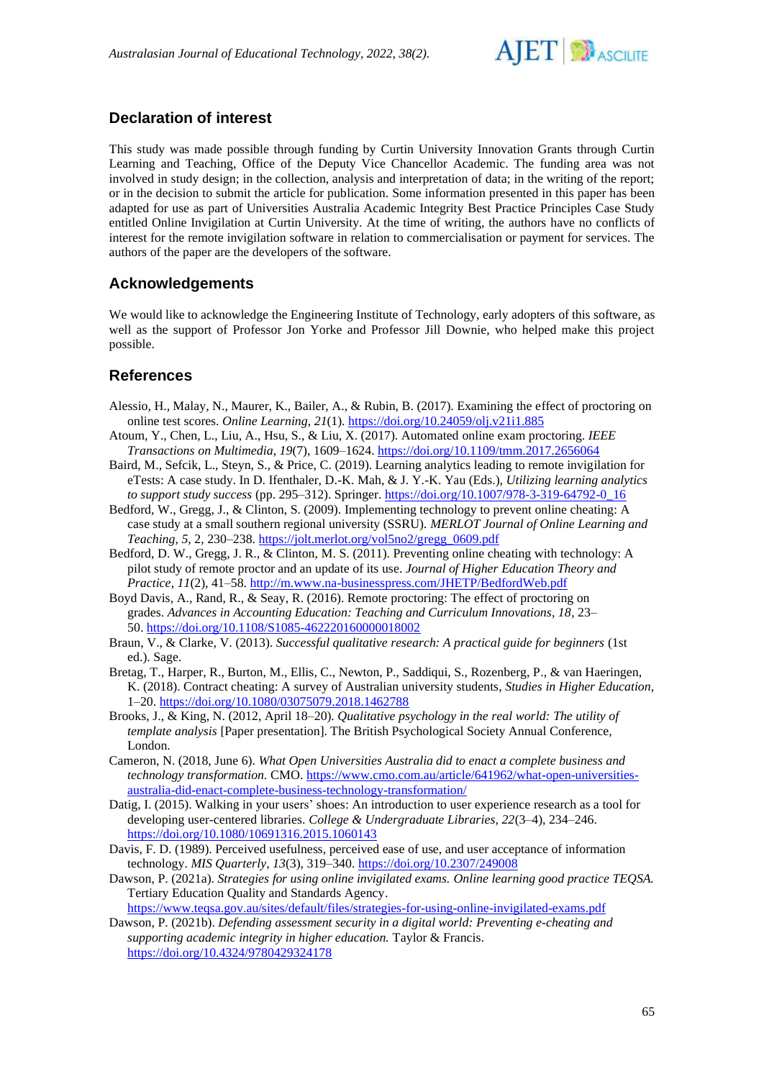

# **Declaration of interest**

This study was made possible through funding by Curtin University Innovation Grants through Curtin Learning and Teaching, Office of the Deputy Vice Chancellor Academic. The funding area was not involved in study design; in the collection, analysis and interpretation of data; in the writing of the report; or in the decision to submit the article for publication. Some information presented in this paper has been adapted for use as part of Universities Australia Academic Integrity Best Practice Principles Case Study entitled Online Invigilation at Curtin University. At the time of writing, the authors have no conflicts of interest for the remote invigilation software in relation to commercialisation or payment for services. The authors of the paper are the developers of the software.

# **Acknowledgements**

We would like to acknowledge the Engineering Institute of Technology, early adopters of this software, as well as the support of Professor Jon Yorke and Professor Jill Downie, who helped make this project possible.

# **References**

- Alessio, H., Malay, N., Maurer, K., Bailer, A., & Rubin, B. (2017). Examining the effect of proctoring on online test scores. *Online Learning*, *21*(1).<https://doi.org/10.24059/olj.v21i1.885>
- Atoum, Y., Chen, L., Liu, A., Hsu, S., & Liu, X. (2017). Automated online exam proctoring. *IEEE Transactions on Multimedia*, *19*(7), 1609–1624.<https://doi.org/10.1109/tmm.2017.2656064>
- Baird, M., Sefcik, L., Steyn, S., & Price, C. (2019). Learning analytics leading to remote invigilation for eTests: A case study. In D. Ifenthaler, D.-K. Mah, & J. Y.-K. Yau (Eds.), *Utilizing learning analytics to support study success* (pp. 295–312). Springer. [https://doi.org/10.1007/978-3-319-64792-0\\_16](https://doi.org/10.1007/978-3-319-64792-0_16)
- Bedford, W., Gregg, J., & Clinton, S. (2009). Implementing technology to prevent online cheating: A case study at a small southern regional university (SSRU). *MERLOT Journal of Online Learning and Teaching, 5,* 2, 230–238[. https://jolt.merlot.org/vol5no2/gregg\\_0609.pdf](https://jolt.merlot.org/vol5no2/gregg_0609.pdf)
- Bedford, D. W., Gregg, J. R., & Clinton, M. S. (2011). Preventing online cheating with technology: A pilot study of remote proctor and an update of its use. *Journal of Higher Education Theory and Practice, 11*(2), 41–58.<http://m.www.na-businesspress.com/JHETP/BedfordWeb.pdf>
- Boyd Davis, A., Rand, R., & Seay, R. (2016). Remote proctoring: The effect of proctoring on grades. *Advances in Accounting Education: Teaching and Curriculum Innovations, 18*, 23– 50. <https://doi.org/10.1108/S1085-462220160000018002>
- Braun, V., & Clarke, V. (2013). *Successful qualitative research: A practical guide for beginners* (1st ed.). Sage.
- Bretag, T., Harper, R., Burton, M., Ellis, C., Newton, P., Saddiqui, S., Rozenberg, P., & van Haeringen, K. (2018). Contract cheating: A survey of Australian university students, *Studies in Higher Education*, 1–20.<https://doi.org/10.1080/03075079.2018.1462788>
- Brooks, J., & King, N. (2012, April 18–20). *Qualitative psychology in the real world: The utility of template analysis* [Paper presentation]. The British Psychological Society Annual Conference, London.
- Cameron, N. (2018, June 6). *What Open Universities Australia did to enact a complete business and technology transformation.* CMO[. https://www.cmo.com.au/article/641962/what-open-universities](https://www.cmo.com.au/article/641962/what-open-universities-australia-did-enact-complete-business-technology-transformation/)[australia-did-enact-complete-business-technology-transformation/](https://www.cmo.com.au/article/641962/what-open-universities-australia-did-enact-complete-business-technology-transformation/)
- Datig, I. (2015). Walking in your users' shoes: An introduction to user experience research as a tool for developing user-centered libraries. *College & Undergraduate Libraries, 22*(3–4), 234–246. <https://doi.org/10.1080/10691316.2015.1060143>
- Davis, F. D. (1989). Perceived usefulness, perceived ease of use, and user acceptance of information technology. *MIS Quarterly, 13*(3), 319–340.<https://doi.org/10.2307/249008>
- Dawson, P. (2021a). *Strategies for using online invigilated exams. Online learning good practice TEQSA.* Tertiary Education Quality and Standards Agency.

<https://www.teqsa.gov.au/sites/default/files/strategies-for-using-online-invigilated-exams.pdf>

Dawson, P. (2021b). *Defending assessment security in a digital world: Preventing e-cheating and supporting academic integrity in higher education.* Taylor & Francis. <https://doi.org/10.4324/9780429324178>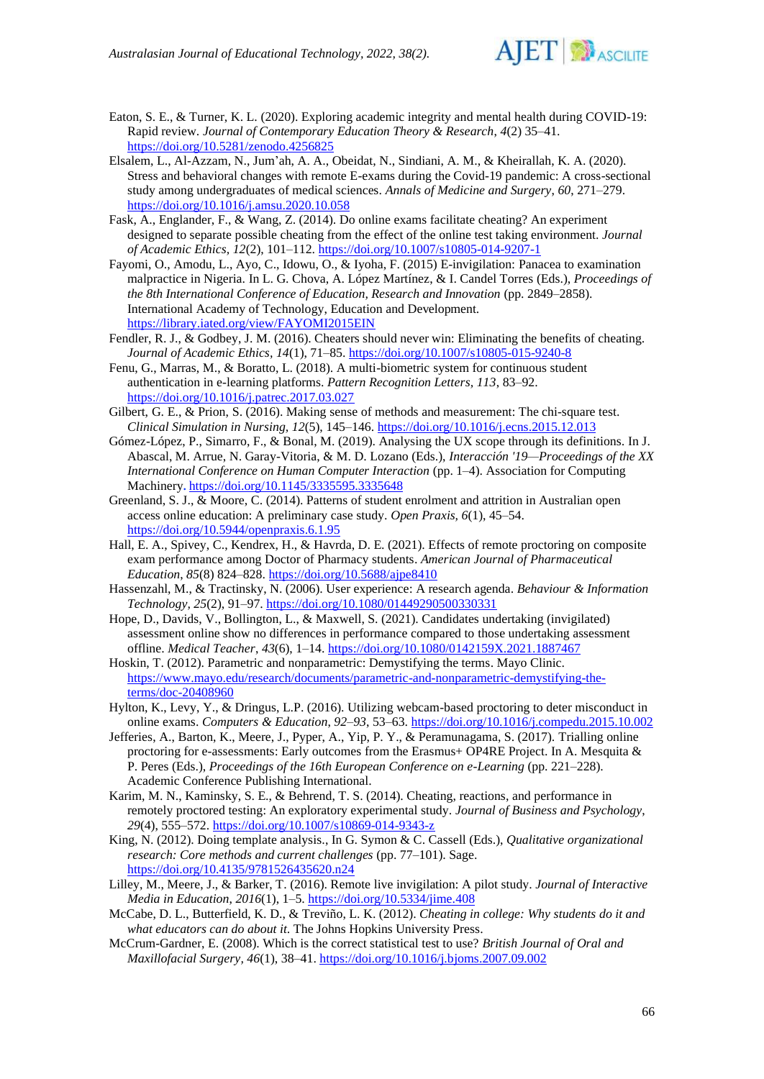

- Eaton, S. E., & Turner, K. L. (2020). Exploring academic integrity and mental health during COVID-19: Rapid review. *Journal of Contemporary Education Theory & Research*, *4*(2) 35–41. <https://doi.org/10.5281/zenodo.4256825>
- Elsalem, L., Al-Azzam, N., Jum'ah, A. A., Obeidat, N., Sindiani, A. M., & Kheirallah, K. A. (2020). Stress and behavioral changes with remote E-exams during the Covid-19 pandemic: A cross-sectional study among undergraduates of medical sciences. *Annals of Medicine and Surgery*, *60*, 271–279. <https://doi.org/10.1016/j.amsu.2020.10.058>
- Fask, A., Englander, F., & Wang, Z. (2014). Do online exams facilitate cheating? An experiment designed to separate possible cheating from the effect of the online test taking environment. *Journal of Academic Ethics, 12*(2), 101–112.<https://doi.org/10.1007/s10805-014-9207-1>
- Fayomi, O., Amodu, L., Ayo, C., Idowu, O., & Iyoha, F. (2015) E-invigilation: Panacea to examination malpractice in Nigeria. In L. G. Chova, A. López Martínez, & I. Candel Torres (Eds.), *Proceedings of the 8th International Conference of Education, Research and Innovation* (pp. 2849–2858). International Academy of Technology, Education and Development. <https://library.iated.org/view/FAYOMI2015EIN>
- Fendler, R. J., & Godbey, J. M. (2016). Cheaters should never win: Eliminating the benefits of cheating. *Journal of Academic Ethics, 14*(1), 71–85[. https://doi.org/10.1007/s10805-015-9240-8](https://doi.org/10.1007/s10805-015-9240-8)
- Fenu, G., Marras, M., & Boratto, L. (2018). A multi-biometric system for continuous student authentication in e-learning platforms. *Pattern Recognition Letters, 113*, 83–92. <https://doi.org/10.1016/j.patrec.2017.03.027>
- Gilbert, G. E., & Prion, S. (2016). Making sense of methods and measurement: The chi-square test. *Clinical Simulation in Nursing, 12*(5), 145–146.<https://doi.org/10.1016/j.ecns.2015.12.013>
- Gómez-López, P., Simarro, F., & Bonal, M. (2019). Analysing the UX scope through its definitions*.* In J. Abascal, M. Arrue, N. Garay-Vitoria, & M. D. Lozano (Eds.), *Interacción '19—Proceedings of the XX International Conference on Human Computer Interaction* (pp. 1–4). Association for Computing Machinery**.** <https://doi.org/10.1145/3335595.3335648>
- Greenland, S. J., & Moore, C. (2014). Patterns of student enrolment and attrition in Australian open access online education: A preliminary case study. *Open Praxis, 6*(1), 45–54. <https://doi.org/10.5944/openpraxis.6.1.95>
- Hall, E. A., Spivey, C., Kendrex, H., & Havrda, D. E. (2021). Effects of remote proctoring on composite exam performance among Doctor of Pharmacy students. *American Journal of Pharmaceutical Education*, *85*(8) 824–828. <https://doi.org/10.5688/ajpe8410>
- Hassenzahl, M., & Tractinsky, N. (2006). User experience: A research agenda. *Behaviour & Information Technology, 25*(2), 91–97[. https://doi.org/10.1080/01449290500330331](https://doi.org/10.1080/01449290500330331)
- Hope, D., Davids, V., Bollington, L., & Maxwell, S. (2021). Candidates undertaking (invigilated) assessment online show no differences in performance compared to those undertaking assessment offline. *Medical Teacher*, *43*(6), 1–14[. https://doi.org/10.1080/0142159X.2021.1887467](https://doi.org/10.1080/0142159X.2021.1887467)
- Hoskin, T. (2012). Parametric and nonparametric: Demystifying the terms. Mayo Clinic. [https://www.mayo.edu/research/documents/parametric-and-nonparametric-demystifying-the](https://www.mayo.edu/research/documents/parametric-and-nonparametric-demystifying-the-terms/doc-20408960)[terms/doc-20408960](https://www.mayo.edu/research/documents/parametric-and-nonparametric-demystifying-the-terms/doc-20408960)
- Hylton, K., Levy, Y., & Dringus, L.P. (2016). Utilizing webcam-based proctoring to deter misconduct in online exams. *Computers & Education*, *92–93*, 53–63.<https://doi.org/10.1016/j.compedu.2015.10.002>
- Jefferies, A., Barton, K., Meere, J., Pyper, A., Yip, P. Y., & Peramunagama, S. (2017). Trialling online proctoring for e-assessments: Early outcomes from the Erasmus+ OP4RE Project. In A. Mesquita & P. Peres (Eds.), *Proceedings of the 16th European Conference on e-Learning* (pp. 221–228). Academic Conference Publishing International.
- Karim, M. N., Kaminsky, S. E., & Behrend, T. S. (2014). Cheating, reactions, and performance in remotely proctored testing: An exploratory experimental study. *Journal of Business and Psychology*, *29*(4), 555–572.<https://doi.org/10.1007/s10869-014-9343-z>
- King, N. (2012). Doing template analysis., In G. Symon & C. Cassell (Eds.), *Qualitative organizational research: Core methods and current challenges* (pp. 77–101). Sage. <https://doi.org/10.4135/9781526435620.n24>
- Lilley, M., Meere, J., & Barker, T. (2016). Remote live invigilation: A pilot study. *Journal of Interactive Media in Education*, *2016*(1), 1–5. <https://doi.org/10.5334/jime.408>
- McCabe, D. L., Butterfield, K. D., & Treviño, L. K. (2012). *Cheating in college: Why students do it and what educators can do about it*. The Johns Hopkins University Press.
- McCrum-Gardner, E. (2008). Which is the correct statistical test to use? *British Journal of Oral and Maxillofacial Surgery, 46*(1), 38–41.<https://doi.org/10.1016/j.bjoms.2007.09.002>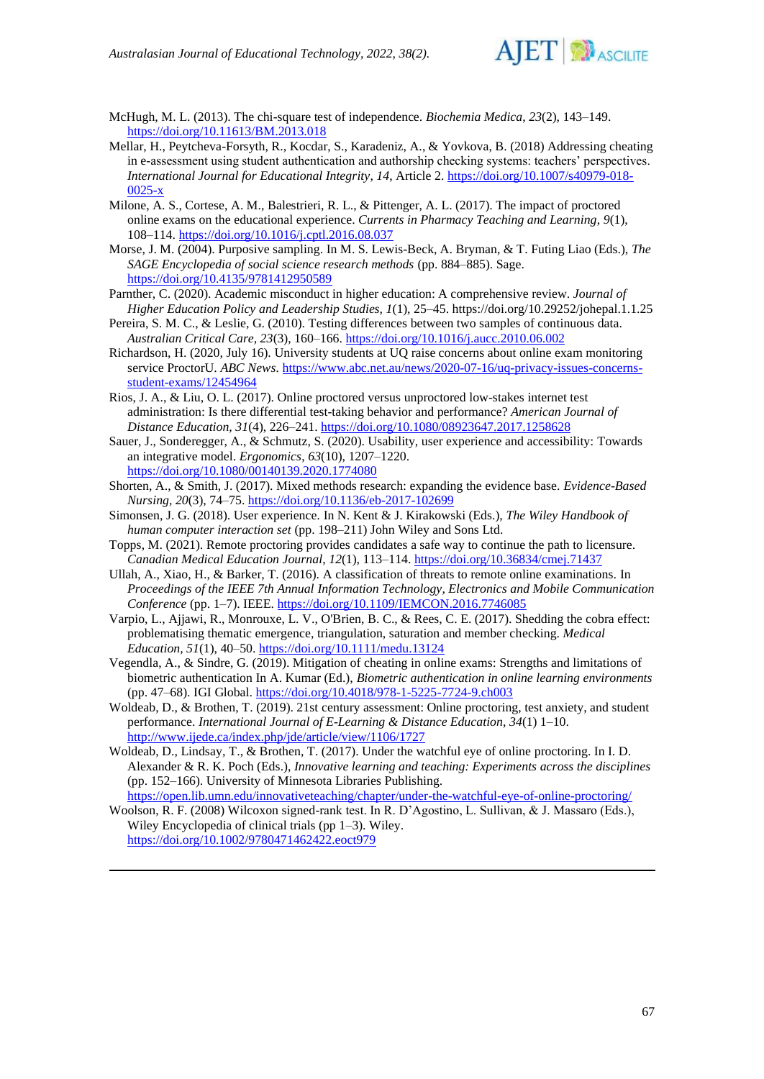

McHugh, M. L. (2013). The chi-square test of independence. *Biochemia Medica*, *23*(2), 143–149. <https://doi.org/10.11613/BM.2013.018>

- Mellar, H., Peytcheva-Forsyth, R., Kocdar, S., Karadeniz, A., & Yovkova, B. (2018) Addressing cheating in e-assessment using student authentication and authorship checking systems: teachers' perspectives. *International Journal for Educational Integrity*, *14*, Article 2[. https://doi.org/10.1007/s40979-018-](https://doi.org/10.1007/s40979-018-0025-x) [0025-x](https://doi.org/10.1007/s40979-018-0025-x)
- Milone, A. S., Cortese, A. M., Balestrieri, R. L., & Pittenger, A. L. (2017). The impact of proctored online exams on the educational experience. *Currents in Pharmacy Teaching and Learning*, *9*(1), 108–114.<https://doi.org/10.1016/j.cptl.2016.08.037>
- Morse, J. M. (2004). Purposive sampling. In M. S. Lewis-Beck, A. Bryman, & T. Futing Liao (Eds.), *The SAGE Encyclopedia of social science research methods* (pp. 884–885). Sage. <https://doi.org/10.4135/9781412950589>
- Parnther, C. (2020). Academic misconduct in higher education: A comprehensive review. *Journal of Higher Education Policy and Leadership Studies, 1*(1), 25–45. https://doi.org/10.29252/johepal.1.1.25
- Pereira, S. M. C., & Leslie, G. (2010). Testing differences between two samples of continuous data. *Australian Critical Care, 23*(3), 160–166.<https://doi.org/10.1016/j.aucc.2010.06.002>
- Richardson, H. (2020, July 16). University students at UQ raise concerns about online exam monitoring service ProctorU. *ABC News*. [https://www.abc.net.au/news/2020-07-16/uq-privacy-issues-concerns](https://www.abc.net.au/news/2020-07-16/uq-privacy-issues-concerns-student-exams/12454964)[student-exams/12454964](https://www.abc.net.au/news/2020-07-16/uq-privacy-issues-concerns-student-exams/12454964)
- Rios, J. A., & Liu, O. L. (2017). Online proctored versus unproctored low-stakes internet test administration: Is there differential test-taking behavior and performance? *American Journal of Distance Education, 31*(4), 226–241.<https://doi.org/10.1080/08923647.2017.1258628>
- Sauer, J., Sonderegger, A., & Schmutz, S. (2020). Usability, user experience and accessibility: Towards an integrative model. *Ergonomics*, *63*(10), 1207–1220. <https://doi.org/10.1080/00140139.2020.1774080>
- Shorten, A., & Smith, J. (2017). Mixed methods research: expanding the evidence base. *Evidence-Based* 
	- *Nursing, 20*(3), 74–75.<https://doi.org/10.1136/eb-2017-102699>
- Simonsen, J. G. (2018). User experience*.* In N. Kent & J. Kirakowski (Eds.), *The Wiley Handbook of human computer interaction set* (pp. 198–211) John Wiley and Sons Ltd.
- Topps, M. (2021). Remote proctoring provides candidates a safe way to continue the path to licensure. *Canadian Medical Education Journal*, *12*(1), 113–114. <https://doi.org/10.36834/cmej.71437>
- Ullah, A., Xiao, H., & Barker, T. (2016). A classification of threats to remote online examinations*.* In *Proceedings of the IEEE 7th Annual Information Technology, Electronics and Mobile Communication Conference* (pp. 1–7). IEEE.<https://doi.org/10.1109/IEMCON.2016.7746085>
- Varpio, L., Ajjawi, R., Monrouxe, L. V., O'Brien, B. C., & Rees, C. E. (2017). Shedding the cobra effect: problematising thematic emergence, triangulation, saturation and member checking. *Medical Education, 51*(1), 40–50.<https://doi.org/10.1111/medu.13124>
- Vegendla, A., & Sindre, G. (2019). Mitigation of cheating in online exams: Strengths and limitations of biometric authentication In A. Kumar (Ed.), *Biometric authentication in online learning environments*  (pp. 47–68). IGI Global. <https://doi.org/10.4018/978-1-5225-7724-9.ch003>
- Woldeab, D., & Brothen, T. (2019). 21st century assessment: Online proctoring, test anxiety, and student performance. *International Journal of E-Learning & Distance Education*, *34*(1) 1–10. <http://www.ijede.ca/index.php/jde/article/view/1106/1727>
- Woldeab, D., Lindsay, T., & Brothen, T. (2017). Under the watchful eye of online proctoring. In I. D. Alexander & R. K. Poch (Eds.), *Innovative learning and teaching: Experiments across the disciplines* (pp. 152–166). University of Minnesota Libraries Publishing. <https://open.lib.umn.edu/innovativeteaching/chapter/under-the-watchful-eye-of-online-proctoring/>
- Woolson, R. F. (2008) Wilcoxon signed-rank test. In R. D'Agostino, L. Sullivan, & J. Massaro (Eds.), Wiley Encyclopedia of clinical trials (pp 1–3). Wiley. <https://doi.org/10.1002/9780471462422.eoct979>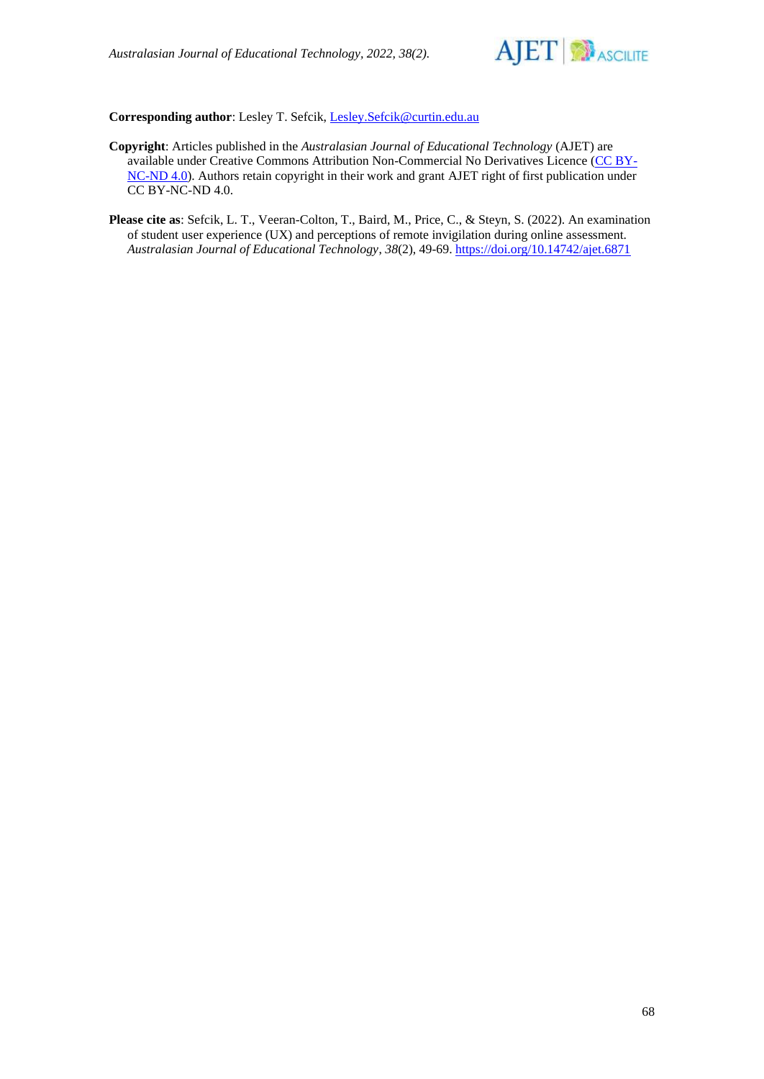

## **Corresponding author**: Lesley T. Sefcik, [Lesley.Sefcik@curtin.edu.au](mailto:Lesley.Sefcik@curtin.edu.au)

- **Copyright**: Articles published in the *Australasian Journal of Educational Technology* (AJET) are available under Creative Commons Attribution Non-Commercial No Derivatives Licence [\(CC BY-](https://creativecommons.org/licenses/by-nc-nd/4.0/)[NC-ND 4.0\)](https://creativecommons.org/licenses/by-nc-nd/4.0/). Authors retain copyright in their work and grant AJET right of first publication under CC BY-NC-ND 4.0.
- **Please cite as**: Sefcik, L. T., Veeran-Colton, T., Baird, M., Price, C., & Steyn, S. (2022). An examination of student user experience (UX) and perceptions of remote invigilation during online assessment. *Australasian Journal of Educational Technology*, *38*(2), 49-69.<https://doi.org/10.14742/ajet.6871>